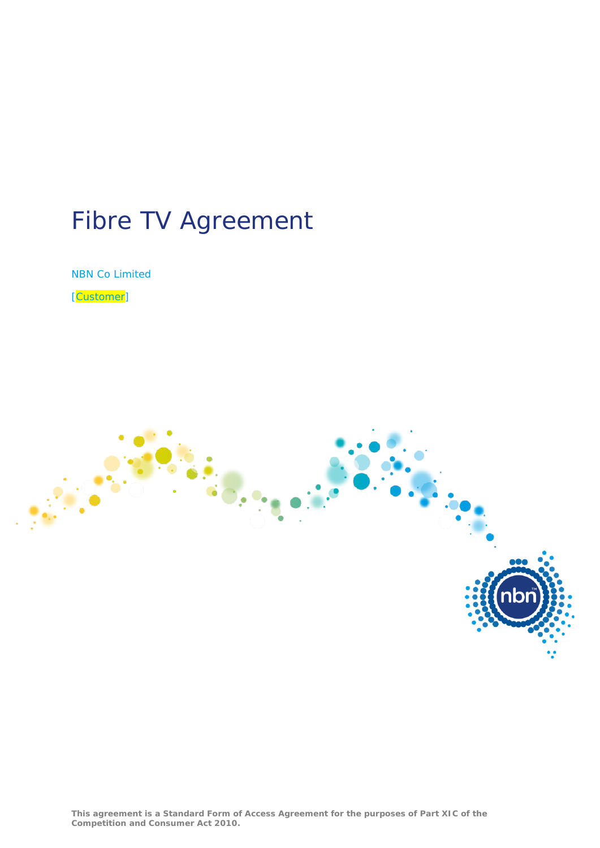# Fibre TV Agreement

NBN Co Limited

[Customer]

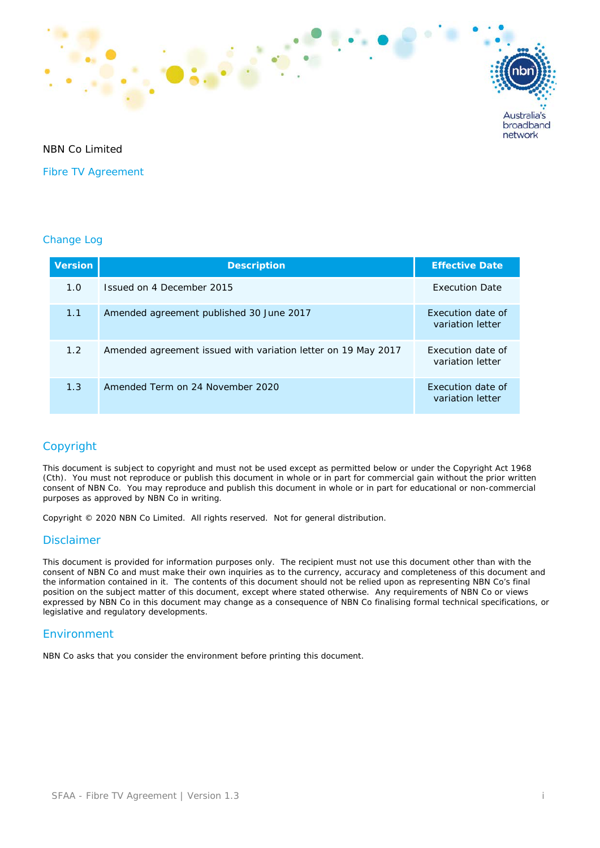

## NBN Co Limited

Fibre TV Agreement

### Change Log

| <b>Version</b> | <b>Description</b>                                            | <b>Effective Date</b>                 |
|----------------|---------------------------------------------------------------|---------------------------------------|
| 1.0            | Issued on 4 December 2015                                     | <b>Execution Date</b>                 |
| 1.1            | Amended agreement published 30 June 2017                      | Execution date of<br>variation letter |
| 1.2            | Amended agreement issued with variation letter on 19 May 2017 | Execution date of<br>variation letter |
| 1.3            | Amended Term on 24 November 2020                              | Execution date of<br>variation letter |

## Copyright

This document is subject to copyright and must not be used except as permitted below or under the Copyright Act 1968 (Cth). You must not reproduce or publish this document in whole or in part for commercial gain without the prior written consent of NBN Co. You may reproduce and publish this document in whole or in part for educational or non-commercial purposes as approved by NBN Co in writing.

Copyright © 2020 NBN Co Limited. All rights reserved. Not for general distribution.

## Disclaimer

This document is provided for information purposes only. The recipient must not use this document other than with the consent of NBN Co and must make their own inquiries as to the currency, accuracy and completeness of this document and the information contained in it. The contents of this document should not be relied upon as representing NBN Co's final position on the subject matter of this document, except where stated otherwise. Any requirements of NBN Co or views expressed by NBN Co in this document may change as a consequence of NBN Co finalising formal technical specifications, or legislative and regulatory developments.

## Environment

NBN Co asks that you consider the environment before printing this document.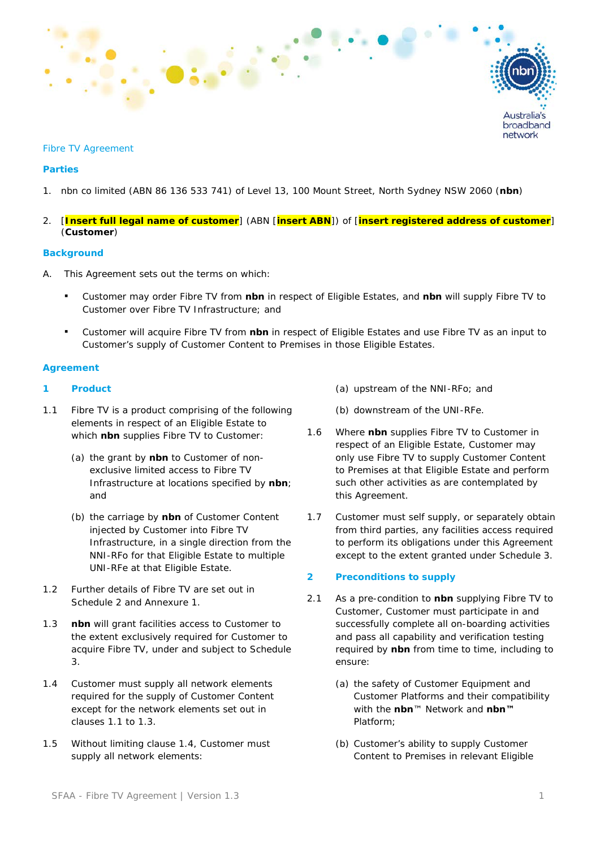

#### Fibre TV Agreement

### **Parties**

- 1. nbn co limited (ABN 86 136 533 741) of Level 13, 100 Mount Street, North Sydney NSW 2060 (**nbn**)
- 2. [**Insert full legal name of customer**] (ABN [**insert ABN**]) of [**insert registered address of customer**] (**Customer**)

#### **Background**

- A. This Agreement sets out the terms on which:
	- Customer may order Fibre TV from **nbn** in respect of Eligible Estates, and **nbn** will supply Fibre TV to Customer over Fibre TV Infrastructure; and
	- Customer will acquire Fibre TV from **nbn** in respect of Eligible Estates and use Fibre TV as an input to Customer's supply of Customer Content to Premises in those Eligible Estates.

#### **Agreement**

### <span id="page-2-3"></span>**1 Product**

- <span id="page-2-0"></span>1.1 Fibre TV is a product comprising of the following elements in respect of an Eligible Estate to which **nbn** supplies Fibre TV to Customer:
	- (a) the grant by **nbn** to Customer of nonexclusive limited access to Fibre TV Infrastructure at locations specified by **nbn**; and
	- (b) the carriage by **nbn** of Customer Content injected by Customer into Fibre TV Infrastructure, in a single direction from the NNI-RFo for that Eligible Estate to multiple UNI-RFe at that Eligible Estate.
- 1.2 Further details of Fibre TV are set out in Schedule 2 and Annexure 1.
- <span id="page-2-1"></span>1.3 **nbn** will grant facilities access to Customer to the extent exclusively required for Customer to acquire Fibre TV, under and subject to Schedule 3.
- <span id="page-2-2"></span>1.4 Customer must supply all network elements required for the supply of Customer Content except for the network elements set out in clauses [1.1](#page-2-0) to [1.3.](#page-2-1)
- 1.5 Without limiting clause [1.4,](#page-2-2) Customer must supply all network elements:
- (a) upstream of the NNI-RFo; and
- (b) downstream of the UNI-RFe.
- 1.6 Where **nbn** supplies Fibre TV to Customer in respect of an Eligible Estate, Customer may only use Fibre TV to supply Customer Content to Premises at that Eligible Estate and perform such other activities as are contemplated by this Agreement.
- 1.7 Customer must self supply, or separately obtain from third parties, any facilities access required to perform its obligations under this Agreement except to the extent granted under Schedule 3.

### **2 Preconditions to supply**

- 2.1 As a pre-condition to **nbn** supplying Fibre TV to Customer, Customer must participate in and successfully complete all on-boarding activities and pass all capability and verification testing required by **nbn** from time to time, including to ensure:
	- (a) the safety of Customer Equipment and Customer Platforms and their compatibility with the **nbn**™ Network and **nbn™**  Platform;
	- (b) Customer's ability to supply Customer Content to Premises in relevant Eligible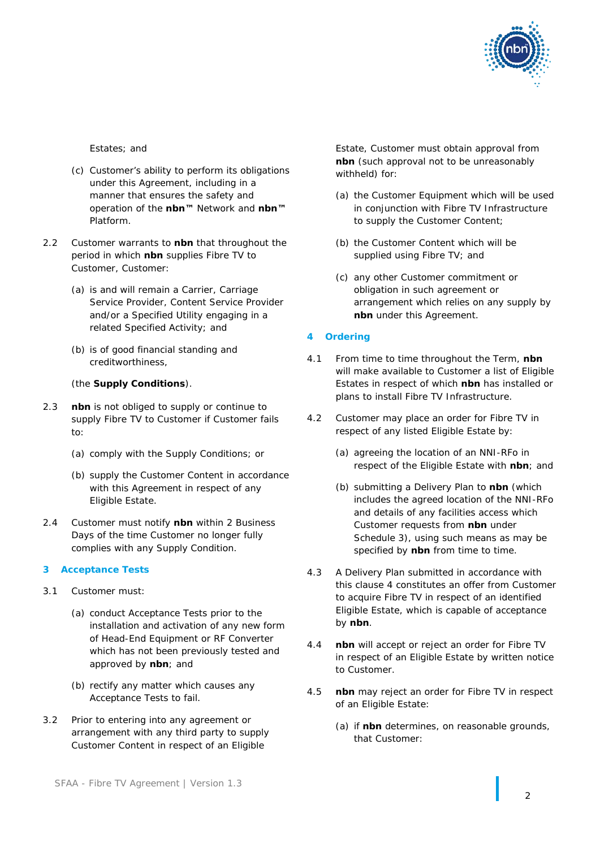

Estates; and

- (c) Customer's ability to perform its obligations under this Agreement, including in a manner that ensures the safety and operation of the **nbn™** Network and **nbn™**  Platform.
- <span id="page-3-2"></span>2.2 Customer warrants to **nbn** that throughout the period in which **nbn** supplies Fibre TV to Customer, Customer:
	- (a) is and will remain a Carrier, Carriage Service Provider, Content Service Provider and/or a Specified Utility engaging in a related Specified Activity; and
	- (b) is of good financial standing and creditworthiness,

### (the **Supply Conditions**).

- 2.3 **nbn** is not obliged to supply or continue to supply Fibre TV to Customer if Customer fails to:
	- (a) comply with the Supply Conditions; or
	- (b) supply the Customer Content in accordance with this Agreement in respect of any Eligible Estate.
- 2.4 Customer must notify **nbn** within 2 Business Days of the time Customer no longer fully complies with any Supply Condition.

#### <span id="page-3-1"></span>**3 Acceptance Tests**

- 3.1 Customer must:
	- (a) conduct Acceptance Tests prior to the installation and activation of any new form of Head-End Equipment or RF Converter which has not been previously tested and approved by **nbn**; and
	- (b) rectify any matter which causes any Acceptance Tests to fail.
- 3.2 Prior to entering into any agreement or arrangement with any third party to supply Customer Content in respect of an Eligible

Estate, Customer must obtain approval from **nbn** (such approval not to be unreasonably withheld) for:

- (a) the Customer Equipment which will be used in conjunction with Fibre TV Infrastructure to supply the Customer Content;
- (b) the Customer Content which will be supplied using Fibre TV; and
- (c) any other Customer commitment or obligation in such agreement or arrangement which relies on any supply by **nbn** under this Agreement.
- <span id="page-3-0"></span>**4 Ordering**
- 4.1 From time to time throughout the Term, **nbn**  will make available to Customer a list of Eligible Estates in respect of which **nbn** has installed or plans to install Fibre TV Infrastructure.
- 4.2 Customer may place an order for Fibre TV in respect of any listed Eligible Estate by:
	- (a) agreeing the location of an NNI-RFo in respect of the Eligible Estate with **nbn**; and
	- (b) submitting a Delivery Plan to **nbn** (which includes the agreed location of the NNI-RFo and details of any facilities access which Customer requests from **nbn** under Schedule 3), using such means as may be specified by **nbn** from time to time.
- 4.3 A Delivery Plan submitted in accordance with this clause [4](#page-3-0) constitutes an offer from Customer to acquire Fibre TV in respect of an identified Eligible Estate, which is capable of acceptance by **nbn**.
- <span id="page-3-3"></span>4.4 **nbn** will accept or reject an order for Fibre TV in respect of an Eligible Estate by written notice to Customer.
- 4.5 **nbn** may reject an order for Fibre TV in respect of an Eligible Estate:
	- (a) if **nbn** determines, on reasonable grounds, that Customer: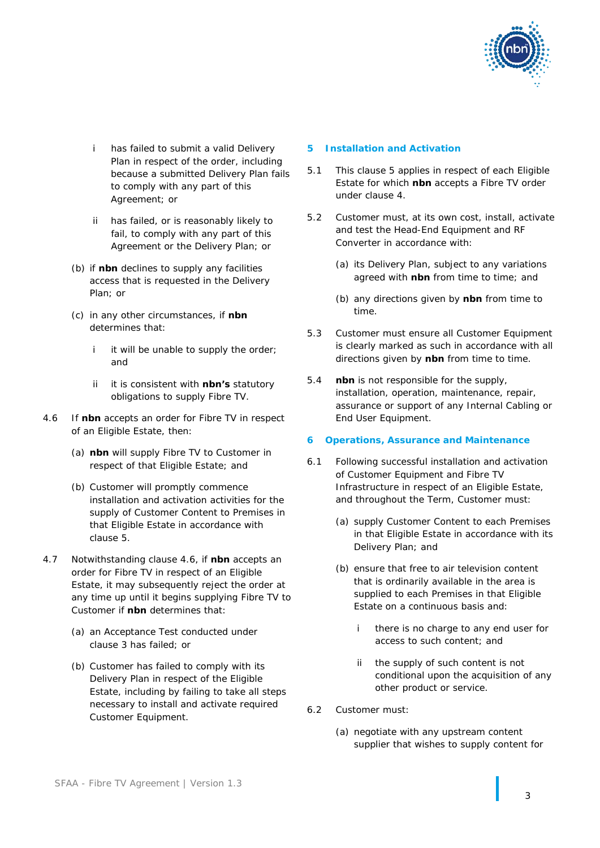

- i has failed to submit a valid Delivery Plan in respect of the order, including because a submitted Delivery Plan fails to comply with any part of this Agreement; or
- ii has failed, or is reasonably likely to fail, to comply with any part of this Agreement or the Delivery Plan; or
- (b) if **nbn** declines to supply any facilities access that is requested in the Delivery Plan; or
- (c) in any other circumstances, if **nbn** determines that:
	- i it will be unable to supply the order: and
	- ii it is consistent with **nbn's** statutory obligations to supply Fibre TV.
- <span id="page-4-1"></span>4.6 If **nbn** accepts an order for Fibre TV in respect of an Eligible Estate, then:
	- (a) **nbn** will supply Fibre TV to Customer in respect of that Eligible Estate; and
	- (b) Customer will promptly commence installation and activation activities for the supply of Customer Content to Premises in that Eligible Estate in accordance with clause [5.](#page-4-0)
- <span id="page-4-4"></span>4.7 Notwithstanding clause [4.6,](#page-4-1) if **nbn** accepts an order for Fibre TV in respect of an Eligible Estate, it may subsequently reject the order at any time up until it begins supplying Fibre TV to Customer if **nbn** determines that:
	- (a) an Acceptance Test conducted under clause [3](#page-3-1) has failed; or
	- (b) Customer has failed to comply with its Delivery Plan in respect of the Eligible Estate, including by failing to take all steps necessary to install and activate required Customer Equipment.

### <span id="page-4-0"></span>**5 Installation and Activation**

- 5.1 This clause [5](#page-4-0) applies in respect of each Eligible Estate for which **nbn** accepts a Fibre TV order under clause [4.](#page-3-0)
- 5.2 Customer must, at its own cost, install, activate and test the Head-End Equipment and RF Converter in accordance with:
	- (a) its Delivery Plan, subject to any variations agreed with **nbn** from time to time; and
	- (b) any directions given by **nbn** from time to time.
- 5.3 Customer must ensure all Customer Equipment is clearly marked as such in accordance with all directions given by **nbn** from time to time.
- 5.4 **nbn** is not responsible for the supply, installation, operation, maintenance, repair, assurance or support of any Internal Cabling or End User Equipment.

### <span id="page-4-2"></span>**6 Operations, Assurance and Maintenance**

- <span id="page-4-3"></span>6.1 Following successful installation and activation of Customer Equipment and Fibre TV Infrastructure in respect of an Eligible Estate, and throughout the Term, Customer must:
	- (a) supply Customer Content to each Premises in that Eligible Estate in accordance with its Delivery Plan; and
	- (b) ensure that free to air television content that is ordinarily available in the area is supplied to each Premises in that Eligible Estate on a continuous basis and:
		- there is no charge to any end user for access to such content; and
		- ii the supply of such content is not conditional upon the acquisition of any other product or service.
- 6.2 Customer must:
	- (a) negotiate with any upstream content supplier that wishes to supply content for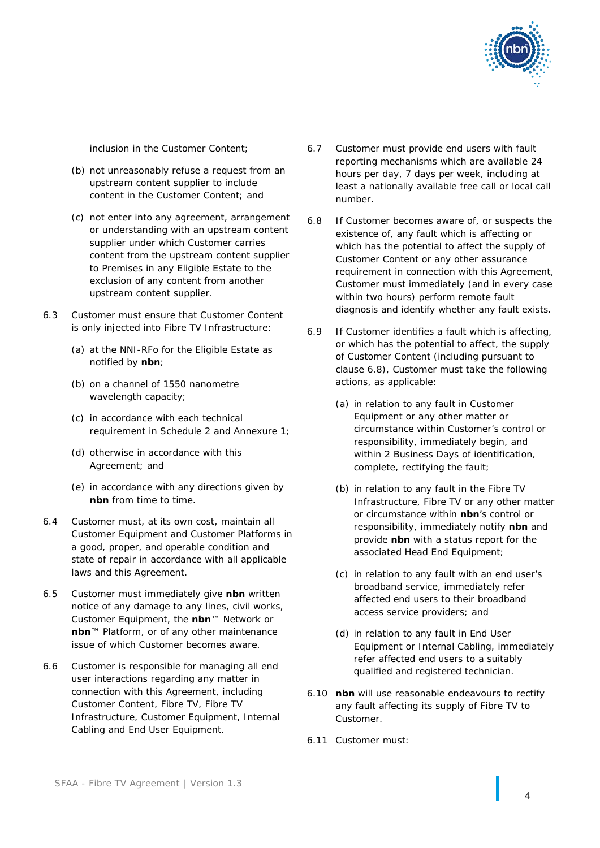

inclusion in the Customer Content;

- (b) not unreasonably refuse a request from an upstream content supplier to include content in the Customer Content; and
- (c) not enter into any agreement, arrangement or understanding with an upstream content supplier under which Customer carries content from the upstream content supplier to Premises in any Eligible Estate to the exclusion of any content from another upstream content supplier.
- 6.3 Customer must ensure that Customer Content is only injected into Fibre TV Infrastructure:
	- (a) at the NNI-RFo for the Eligible Estate as notified by **nbn**;
	- (b) on a channel of 1550 nanometre wavelength capacity;
	- (c) in accordance with each technical requirement in Schedule 2 and Annexure 1;
	- (d) otherwise in accordance with this Agreement; and
	- (e) in accordance with any directions given by **nbn** from time to time.
- 6.4 Customer must, at its own cost, maintain all Customer Equipment and Customer Platforms in a good, proper, and operable condition and state of repair in accordance with all applicable laws and this Agreement.
- <span id="page-5-2"></span>6.5 Customer must immediately give **nbn** written notice of any damage to any lines, civil works, Customer Equipment, the **nbn**™ Network or **nbn**™ Platform, or of any other maintenance issue of which Customer becomes aware.
- <span id="page-5-4"></span>6.6 Customer is responsible for managing all end user interactions regarding any matter in connection with this Agreement, including Customer Content, Fibre TV, Fibre TV Infrastructure, Customer Equipment, Internal Cabling and End User Equipment.
- 6.7 Customer must provide end users with fault reporting mechanisms which are available 24 hours per day, 7 days per week, including at least a nationally available free call or local call number.
- <span id="page-5-0"></span>6.8 If Customer becomes aware of, or suspects the existence of, any fault which is affecting or which has the potential to affect the supply of Customer Content or any other assurance requirement in connection with this Agreement, Customer must immediately (and in every case within two hours) perform remote fault diagnosis and identify whether any fault exists.
- <span id="page-5-3"></span>6.9 If Customer identifies a fault which is affecting, or which has the potential to affect, the supply of Customer Content (including pursuant to clause [6.8\)](#page-5-0), Customer must take the following actions, as applicable:
	- (a) in relation to any fault in Customer Equipment or any other matter or circumstance within Customer's control or responsibility, immediately begin, and within 2 Business Days of identification, complete, rectifying the fault;
	- (b) in relation to any fault in the Fibre TV Infrastructure, Fibre TV or any other matter or circumstance within **nbn**'s control or responsibility, immediately notify **nbn** and provide **nbn** with a status report for the associated Head End Equipment;
	- (c) in relation to any fault with an end user's broadband service, immediately refer affected end users to their broadband access service providers; and
	- (d) in relation to any fault in End User Equipment or Internal Cabling, immediately refer affected end users to a suitably qualified and registered technician.
- <span id="page-5-1"></span>6.10 **nbn** will use reasonable endeavours to rectify any fault affecting its supply of Fibre TV to Customer.
- 6.11 Customer must: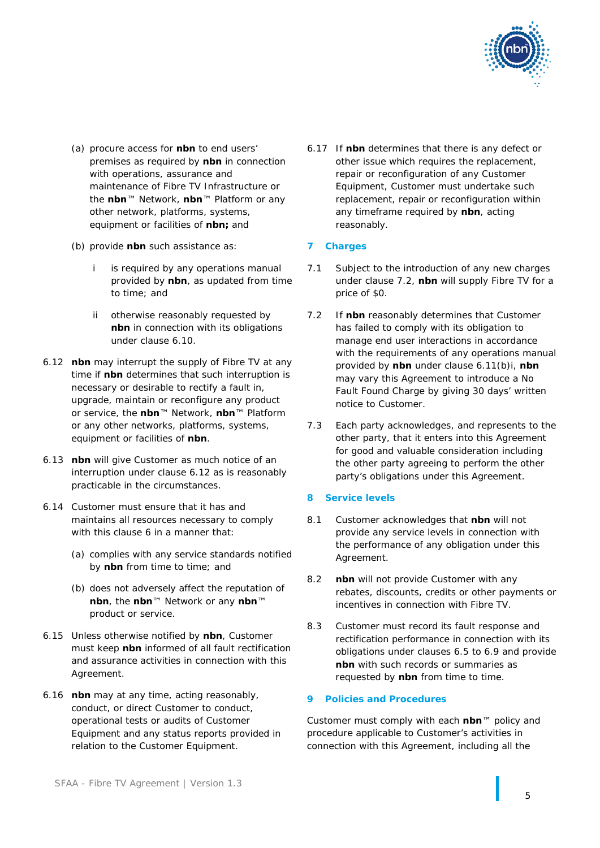

- (a) procure access for **nbn** to end users' premises as required by **nbn** in connection with operations, assurance and maintenance of Fibre TV Infrastructure or the **nbn**™ Network, **nbn**™ Platform or any other network, platforms, systems, equipment or facilities of **nbn;** and
- <span id="page-6-2"></span>(b) provide **nbn** such assistance as:
	- i is required by any operations manual provided by **nbn**, as updated from time to time; and
	- ii otherwise reasonably requested by **nbn** in connection with its obligations under clause [6.10.](#page-5-1)
- <span id="page-6-0"></span>6.12 **nbn** may interrupt the supply of Fibre TV at any time if **nbn** determines that such interruption is necessary or desirable to rectify a fault in, upgrade, maintain or reconfigure any product or service, the **nbn**™ Network, **nbn**™ Platform or any other networks, platforms, systems, equipment or facilities of **nbn**.
- 6.13 **nbn** will give Customer as much notice of an interruption under clause [6.12](#page-6-0) as is reasonably practicable in the circumstances.
- 6.14 Customer must ensure that it has and maintains all resources necessary to comply with this clause [6](#page-4-2) in a manner that:
	- (a) complies with any service standards notified by **nbn** from time to time; and
	- (b) does not adversely affect the reputation of **nbn**, the **nbn**™ Network or any **nbn**™ product or service.
- 6.15 Unless otherwise notified by **nbn**, Customer must keep **nbn** informed of all fault rectification and assurance activities in connection with this Agreement.
- 6.16 **nbn** may at any time, acting reasonably, conduct, or direct Customer to conduct, operational tests or audits of Customer Equipment and any status reports provided in relation to the Customer Equipment.

6.17 If **nbn** determines that there is any defect or other issue which requires the replacement, repair or reconfiguration of any Customer Equipment, Customer must undertake such replacement, repair or reconfiguration within any timeframe required by **nbn**, acting reasonably.

### **7 Charges**

- 7.1 Subject to the introduction of any new charges under clause [7.2,](#page-6-1) **nbn** will supply Fibre TV for a price of \$0.
- <span id="page-6-1"></span>7.2 If **nbn** reasonably determines that Customer has failed to comply with its obligation to manage end user interactions in accordance with the requirements of any operations manual provided by **nbn** under clause [6.11\(b\)i,](#page-6-2) **nbn** may vary this Agreement to introduce a No Fault Found Charge by giving 30 days' written notice to Customer.
- 7.3 Each party acknowledges, and represents to the other party, that it enters into this Agreement for good and valuable consideration including the other party agreeing to perform the other party's obligations under this Agreement.

### **8 Service levels**

- 8.1 Customer acknowledges that **nbn** will not provide any service levels in connection with the performance of any obligation under this Agreement.
- 8.2 **nbn** will not provide Customer with any rebates, discounts, credits or other payments or incentives in connection with Fibre TV.
- 8.3 Customer must record its fault response and rectification performance in connection with its obligations under clauses [6.5](#page-5-2) to [6.9](#page-5-3) and provide **nbn** with such records or summaries as requested by **nbn** from time to time.

### **9 Policies and Procedures**

Customer must comply with each **nbn**™ policy and procedure applicable to Customer's activities in connection with this Agreement, including all the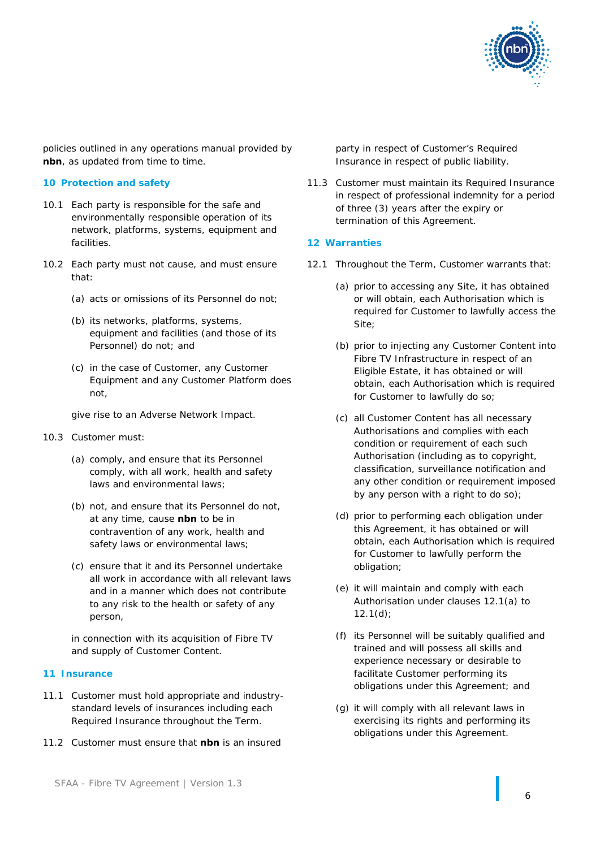

policies outlined in any operations manual provided by **nbn**, as updated from time to time.

### **10 Protection and safety**

- 10.1 Each party is responsible for the safe and environmentally responsible operation of its network, platforms, systems, equipment and facilities.
- 10.2 Each party must not cause, and must ensure that:
	- (a) acts or omissions of its Personnel do not;
	- (b) its networks, platforms, systems, equipment and facilities (and those of its Personnel) do not; and
	- (c) in the case of Customer, any Customer Equipment and any Customer Platform does not,

give rise to an Adverse Network Impact.

- 10.3 Customer must:
	- (a) comply, and ensure that its Personnel comply, with all work, health and safety laws and environmental laws;
	- (b) not, and ensure that its Personnel do not, at any time, cause **nbn** to be in contravention of any work, health and safety laws or environmental laws;
	- (c) ensure that it and its Personnel undertake all work in accordance with all relevant laws and in a manner which does not contribute to any risk to the health or safety of any person,

in connection with its acquisition of Fibre TV and supply of Customer Content.

### <span id="page-7-3"></span>**11 Insurance**

- 11.1 Customer must hold appropriate and industrystandard levels of insurances including each Required Insurance throughout the Term.
- 11.2 Customer must ensure that **nbn** is an insured

party in respect of Customer's Required Insurance in respect of public liability.

11.3 Customer must maintain its Required Insurance in respect of professional indemnity for a period of three (3) years after the expiry or termination of this Agreement.

#### **12 Warranties**

- <span id="page-7-2"></span><span id="page-7-1"></span><span id="page-7-0"></span>12.1 Throughout the Term, Customer warrants that:
	- (a) prior to accessing any Site, it has obtained or will obtain, each Authorisation which is required for Customer to lawfully access the Site;
	- (b) prior to injecting any Customer Content into Fibre TV Infrastructure in respect of an Eligible Estate, it has obtained or will obtain, each Authorisation which is required for Customer to lawfully do so;
	- (c) all Customer Content has all necessary Authorisations and complies with each condition or requirement of each such Authorisation (including as to copyright, classification, surveillance notification and any other condition or requirement imposed by any person with a right to do so);
	- (d) prior to performing each obligation under this Agreement, it has obtained or will obtain, each Authorisation which is required for Customer to lawfully perform the obligation;
	- (e) it will maintain and comply with each Authorisation under clauses [12.1\(a\)](#page-7-0) to  $12.1(d)$ ;
	- (f) its Personnel will be suitably qualified and trained and will possess all skills and experience necessary or desirable to facilitate Customer performing its obligations under this Agreement; and
	- (g) it will comply with all relevant laws in exercising its rights and performing its obligations under this Agreement.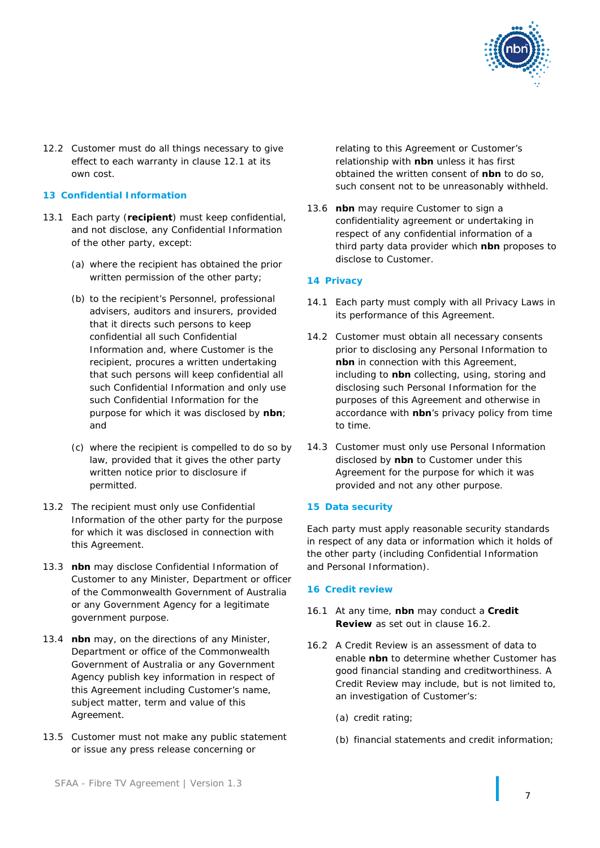

12.2 Customer must do all things necessary to give effect to each warranty in clause [12.1](#page-7-2) at its own cost.

### <span id="page-8-2"></span>**13 Confidential Information**

- 13.1 Each party (**recipient**) must keep confidential, and not disclose, any Confidential Information of the other party, except:
	- (a) where the recipient has obtained the prior written permission of the other party;
	- (b) to the recipient's Personnel, professional advisers, auditors and insurers, provided that it directs such persons to keep confidential all such Confidential Information and, where Customer is the recipient, procures a written undertaking that such persons will keep confidential all such Confidential Information and only use such Confidential Information for the purpose for which it was disclosed by **nbn**; and
	- (c) where the recipient is compelled to do so by law, provided that it gives the other party written notice prior to disclosure if permitted.
- 13.2 The recipient must only use Confidential Information of the other party for the purpose for which it was disclosed in connection with this Agreement.
- 13.3 **nbn** may disclose Confidential Information of Customer to any Minister, Department or officer of the Commonwealth Government of Australia or any Government Agency for a legitimate government purpose.
- 13.4 **nbn** may, on the directions of any Minister, Department or office of the Commonwealth Government of Australia or any Government Agency publish key information in respect of this Agreement including Customer's name, subject matter, term and value of this Agreement.
- 13.5 Customer must not make any public statement or issue any press release concerning or

relating to this Agreement or Customer's relationship with **nbn** unless it has first obtained the written consent of **nbn** to do so, such consent not to be unreasonably withheld.

13.6 **nbn** may require Customer to sign a confidentiality agreement or undertaking in respect of any confidential information of a third party data provider which **nbn** proposes to disclose to Customer.

## <span id="page-8-1"></span>**14 Privacy**

- 14.1 Each party must comply with all Privacy Laws in its performance of this Agreement.
- 14.2 Customer must obtain all necessary consents prior to disclosing any Personal Information to **nbn** in connection with this Agreement, including to **nbn** collecting, using, storing and disclosing such Personal Information for the purposes of this Agreement and otherwise in accordance with **nbn**'s privacy policy from time to time.
- <span id="page-8-3"></span>14.3 Customer must only use Personal Information disclosed by **nbn** to Customer under this Agreement for the purpose for which it was provided and not any other purpose.

### <span id="page-8-4"></span>**15 Data security**

Each party must apply reasonable security standards in respect of any data or information which it holds of the other party (including Confidential Information and Personal Information).

### **16 Credit review**

- 16.1 At any time, **nbn** may conduct a **Credit Review** as set out in clause [16.2.](#page-8-0)
- <span id="page-8-0"></span>16.2 A Credit Review is an assessment of data to enable **nbn** to determine whether Customer has good financial standing and creditworthiness. A Credit Review may include, but is not limited to, an investigation of Customer's:
	- (a) credit rating;
	- (b) financial statements and credit information;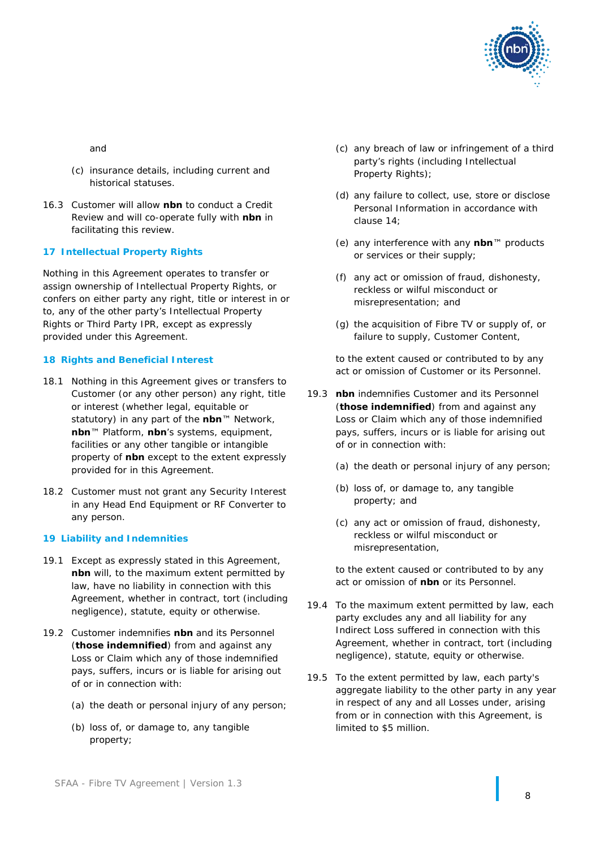

and

- (c) insurance details, including current and historical statuses.
- 16.3 Customer will allow **nbn** to conduct a Credit Review and will co-operate fully with **nbn** in facilitating this review.

### **17 Intellectual Property Rights**

Nothing in this Agreement operates to transfer or assign ownership of Intellectual Property Rights, or confers on either party any right, title or interest in or to, any of the other party's Intellectual Property Rights or Third Party IPR, except as expressly provided under this Agreement.

### **18 Rights and Beneficial Interest**

- 18.1 Nothing in this Agreement gives or transfers to Customer (or any other person) any right, title or interest (whether legal, equitable or statutory) in any part of the **nbn**™ Network, **nbn**™ Platform, **nbn**'s systems, equipment, facilities or any other tangible or intangible property of **nbn** except to the extent expressly provided for in this Agreement.
- 18.2 Customer must not grant any Security Interest in any Head End Equipment or RF Converter to any person.

### <span id="page-9-0"></span>**19 Liability and Indemnities**

- 19.1 Except as expressly stated in this Agreement, **nbn** will, to the maximum extent permitted by law, have no liability in connection with this Agreement, whether in contract, tort (including negligence), statute, equity or otherwise.
- 19.2 Customer indemnifies **nbn** and its Personnel (**those indemnified**) from and against any Loss or Claim which any of those indemnified pays, suffers, incurs or is liable for arising out of or in connection with:
	- (a) the death or personal injury of any person;
	- (b) loss of, or damage to, any tangible property;
- (c) any breach of law or infringement of a third party's rights (including Intellectual Property Rights);
- (d) any failure to collect, use, store or disclose Personal Information in accordance with clause [14;](#page-8-1)
- (e) any interference with any **nbn**™ products or services or their supply;
- (f) any act or omission of fraud, dishonesty, reckless or wilful misconduct or misrepresentation; and
- (g) the acquisition of Fibre TV or supply of, or failure to supply, Customer Content,

to the extent caused or contributed to by any act or omission of Customer or its Personnel.

- 19.3 **nbn** indemnifies Customer and its Personnel (**those indemnified**) from and against any Loss or Claim which any of those indemnified pays, suffers, incurs or is liable for arising out of or in connection with:
	- (a) the death or personal injury of any person;
	- (b) loss of, or damage to, any tangible property; and
	- (c) any act or omission of fraud, dishonesty, reckless or wilful misconduct or misrepresentation,

to the extent caused or contributed to by any act or omission of **nbn** or its Personnel.

- 19.4 To the maximum extent permitted by law, each party excludes any and all liability for any Indirect Loss suffered in connection with this Agreement, whether in contract, tort (including negligence), statute, equity or otherwise.
- 19.5 To the extent permitted by law, each party's aggregate liability to the other party in any year in respect of any and all Losses under, arising from or in connection with this Agreement, is limited to \$5 million.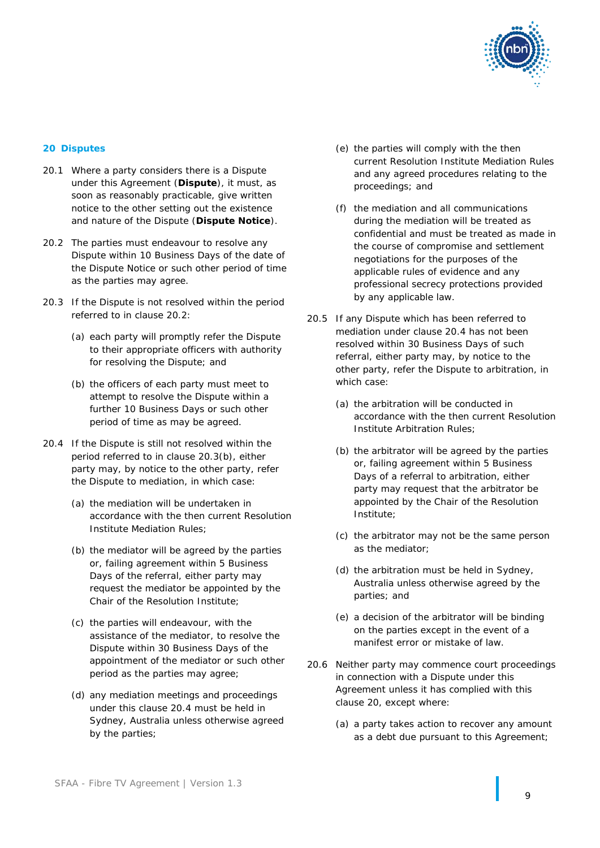

### <span id="page-10-3"></span>**20 Disputes**

- 20.1 Where a party considers there is a Dispute under this Agreement (**Dispute**), it must, as soon as reasonably practicable, give written notice to the other setting out the existence and nature of the Dispute (**Dispute Notice**).
- <span id="page-10-0"></span>20.2 The parties must endeavour to resolve any Dispute within 10 Business Days of the date of the Dispute Notice or such other period of time as the parties may agree.
- 20.3 If the Dispute is not resolved within the period referred to in clause [20.2:](#page-10-0)
	- (a) each party will promptly refer the Dispute to their appropriate officers with authority for resolving the Dispute; and
	- (b) the officers of each party must meet to attempt to resolve the Dispute within a further 10 Business Days or such other period of time as may be agreed.
- <span id="page-10-2"></span><span id="page-10-1"></span>20.4 If the Dispute is still not resolved within the period referred to in clause [20.3\(b\),](#page-10-1) either party may, by notice to the other party, refer the Dispute to mediation, in which case:
	- (a) the mediation will be undertaken in accordance with the then current Resolution Institute Mediation Rules;
	- (b) the mediator will be agreed by the parties or, failing agreement within 5 Business Days of the referral, either party may request the mediator be appointed by the Chair of the Resolution Institute;
	- (c) the parties will endeavour, with the assistance of the mediator, to resolve the Dispute within 30 Business Days of the appointment of the mediator or such other period as the parties may agree;
	- (d) any mediation meetings and proceedings under this clause [20.4](#page-10-2) must be held in Sydney, Australia unless otherwise agreed by the parties;
- (e) the parties will comply with the then current Resolution Institute Mediation Rules and any agreed procedures relating to the proceedings; and
- (f) the mediation and all communications during the mediation will be treated as confidential and must be treated as made in the course of compromise and settlement negotiations for the purposes of the applicable rules of evidence and any professional secrecy protections provided by any applicable law.
- 20.5 If any Dispute which has been referred to mediation under clause [20.4](#page-10-2) has not been resolved within 30 Business Days of such referral, either party may, by notice to the other party, refer the Dispute to arbitration, in which case:
	- (a) the arbitration will be conducted in accordance with the then current Resolution Institute Arbitration Rules;
	- (b) the arbitrator will be agreed by the parties or, failing agreement within 5 Business Days of a referral to arbitration, either party may request that the arbitrator be appointed by the Chair of the Resolution Institute;
	- (c) the arbitrator may not be the same person as the mediator;
	- (d) the arbitration must be held in Sydney, Australia unless otherwise agreed by the parties; and
	- (e) a decision of the arbitrator will be binding on the parties except in the event of a manifest error or mistake of law.
- 20.6 Neither party may commence court proceedings in connection with a Dispute under this Agreement unless it has complied with this clause [20,](#page-10-3) except where:
	- (a) a party takes action to recover any amount as a debt due pursuant to this Agreement;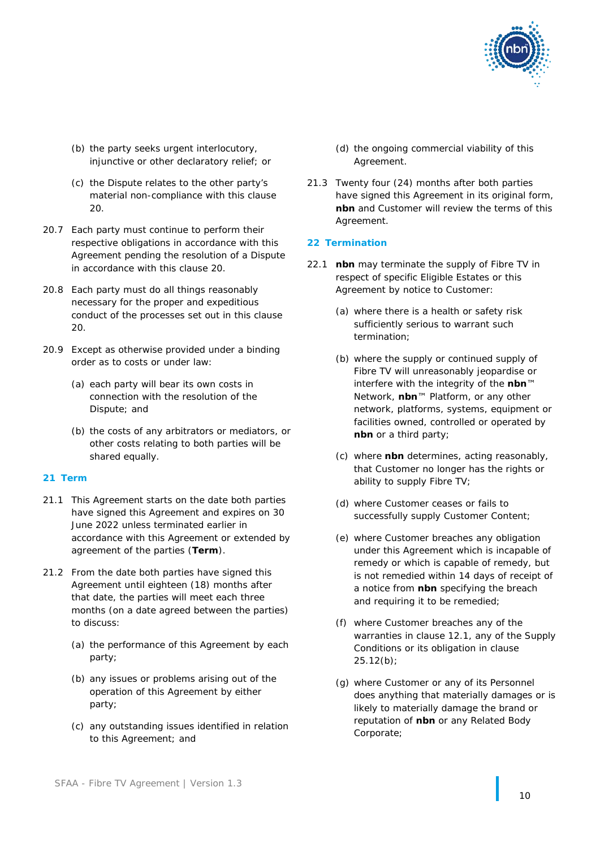

- (b) the party seeks urgent interlocutory, injunctive or other declaratory relief; or
- (c) the Dispute relates to the other party's material non-compliance with this clause [20.](#page-10-3)
- 20.7 Each party must continue to perform their respective obligations in accordance with this Agreement pending the resolution of a Dispute in accordance with this clause [20.](#page-10-3)
- 20.8 Each party must do all things reasonably necessary for the proper and expeditious conduct of the processes set out in this clause  $20<sub>2</sub>$
- 20.9 Except as otherwise provided under a binding order as to costs or under law:
	- (a) each party will bear its own costs in connection with the resolution of the Dispute; and
	- (b) the costs of any arbitrators or mediators, or other costs relating to both parties will be shared equally.

### <span id="page-11-4"></span>**21 Term**

- 21.1 This Agreement starts on the date both parties have signed this Agreement and expires on 30 June 2022 unless terminated earlier in accordance with this Agreement or extended by agreement of the parties (**Term**).
- <span id="page-11-3"></span><span id="page-11-2"></span>21.2 From the date both parties have signed this Agreement until eighteen (18) months after that date, the parties will meet each three months (on a date agreed between the parties) to discuss:
	- (a) the performance of this Agreement by each party;
	- (b) any issues or problems arising out of the operation of this Agreement by either party;
	- (c) any outstanding issues identified in relation to this Agreement; and
- (d) the ongoing commercial viability of this Agreement.
- <span id="page-11-0"></span>21.3 Twenty four (24) months after both parties have signed this Agreement in its original form, **nbn** and Customer will review the terms of this Agreement.

### **22 Termination**

- <span id="page-11-5"></span><span id="page-11-1"></span>22.1 **nbn** may terminate the supply of Fibre TV in respect of specific Eligible Estates or this Agreement by notice to Customer:
	- (a) where there is a health or safety risk sufficiently serious to warrant such termination;
	- (b) where the supply or continued supply of Fibre TV will unreasonably jeopardise or interfere with the integrity of the **nbn**™ Network, **nbn**™ Platform, or any other network, platforms, systems, equipment or facilities owned, controlled or operated by **nbn** or a third party;
	- (c) where **nbn** determines, acting reasonably, that Customer no longer has the rights or ability to supply Fibre TV;
	- (d) where Customer ceases or fails to successfully supply Customer Content;
	- (e) where Customer breaches any obligation under this Agreement which is incapable of remedy or which is capable of remedy, but is not remedied within 14 days of receipt of a notice from **nbn** specifying the breach and requiring it to be remedied;
	- (f) where Customer breaches any of the warranties in clause [12.1,](#page-7-2) any of the Supply Conditions or its obligation in clause [25.12\(b\);](#page-15-0)
	- (g) where Customer or any of its Personnel does anything that materially damages or is likely to materially damage the brand or reputation of **nbn** or any Related Body Corporate;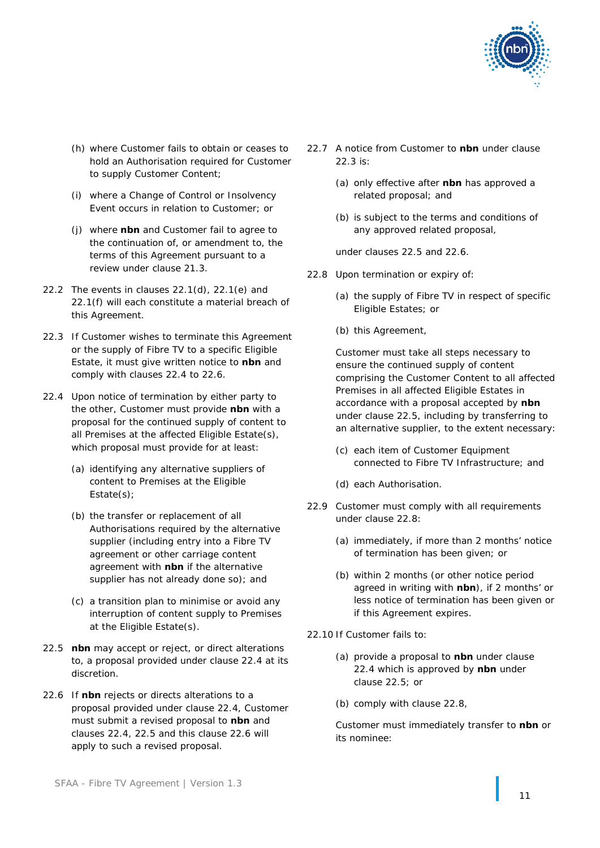

- (h) where Customer fails to obtain or ceases to hold an Authorisation required for Customer to supply Customer Content;
- (i) where a Change of Control or Insolvency Event occurs in relation to Customer; or
- (j) where **nbn** and Customer fail to agree to the continuation of, or amendment to, the terms of this Agreement pursuant to a review under clause [21.3.](#page-11-0)
- 22.2 The events in clauses [22.1\(d\),](#page-11-1) [22.1\(e\)](#page-11-2) and [22.1\(f\)](#page-11-3) will each constitute a material breach of this Agreement.
- <span id="page-12-3"></span>22.3 If Customer wishes to terminate this Agreement or the supply of Fibre TV to a specific Eligible Estate, it must give written notice to **nbn** and comply with clauses [22.4](#page-12-0) to [22.6.](#page-12-1)
- <span id="page-12-0"></span>22.4 Upon notice of termination by either party to the other, Customer must provide **nbn** with a proposal for the continued supply of content to all Premises at the affected Eligible Estate(s), which proposal must provide for at least:
	- (a) identifying any alternative suppliers of content to Premises at the Eligible Estate(s);
	- (b) the transfer or replacement of all Authorisations required by the alternative supplier (including entry into a Fibre TV agreement or other carriage content agreement with **nbn** if the alternative supplier has not already done so); and
	- (c) a transition plan to minimise or avoid any interruption of content supply to Premises at the Eligible Estate(s).
- <span id="page-12-2"></span>22.5 **nbn** may accept or reject, or direct alterations to, a proposal provided under clause [22.4](#page-12-0) at its discretion.
- <span id="page-12-1"></span>22.6 If **nbn** rejects or directs alterations to a proposal provided under clause [22.4,](#page-12-0) Customer must submit a revised proposal to **nbn** and clauses [22.4,](#page-12-0) [22.5](#page-12-2) and this clause [22.6](#page-12-1) will apply to such a revised proposal.
- 22.7 A notice from Customer to **nbn** under clause [22.3](#page-12-3) is:
	- (a) only effective after **nbn** has approved a related proposal; and
	- (b) is subject to the terms and conditions of any approved related proposal,

under clauses [22.5](#page-12-2) and [22.6.](#page-12-1)

- <span id="page-12-4"></span>22.8 Upon termination or expiry of:
	- (a) the supply of Fibre TV in respect of specific Eligible Estates; or
	- (b) this Agreement,

Customer must take all steps necessary to ensure the continued supply of content comprising the Customer Content to all affected Premises in all affected Eligible Estates in accordance with a proposal accepted by **nbn** under clause [22.5,](#page-12-2) including by transferring to an alternative supplier, to the extent necessary:

- (c) each item of Customer Equipment connected to Fibre TV Infrastructure; and
- (d) each Authorisation.
- 22.9 Customer must comply with all requirements under clause [22.8:](#page-12-4)
	- (a) immediately, if more than 2 months' notice of termination has been given; or
	- (b) within 2 months (or other notice period agreed in writing with **nbn**), if 2 months' or less notice of termination has been given or if this Agreement expires.
- <span id="page-12-5"></span>22.10 If Customer fails to:
	- (a) provide a proposal to **nbn** under clause [22.4](#page-12-0) which is approved by **nbn** under clause [22.5;](#page-12-2) or
	- (b) comply with clause [22.8,](#page-12-4)

Customer must immediately transfer to **nbn** or its nominee: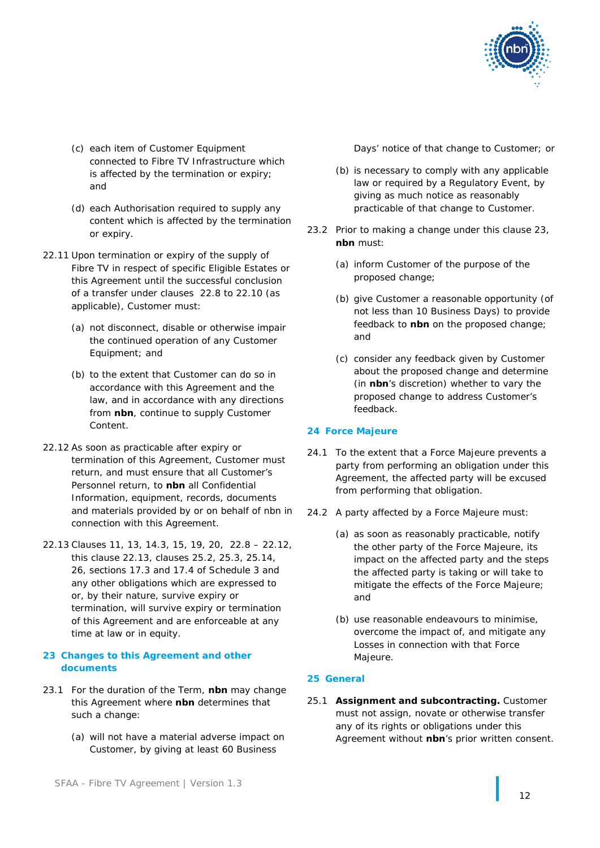

- (c) each item of Customer Equipment connected to Fibre TV Infrastructure which is affected by the termination or expiry; and
- (d) each Authorisation required to supply any content which is affected by the termination or expiry.
- <span id="page-13-3"></span>22.11 Upon termination or expiry of the supply of Fibre TV in respect of specific Eligible Estates or this Agreement until the successful conclusion of a transfer under clauses [22.8](#page-12-4) to [22.10](#page-12-5) (as applicable), Customer must:
	- (a) not disconnect, disable or otherwise impair the continued operation of any Customer Equipment; and
	- (b) to the extent that Customer can do so in accordance with this Agreement and the law, and in accordance with any directions from **nbn**, continue to supply Customer Content.
- <span id="page-13-0"></span>22.12 As soon as practicable after expiry or termination of this Agreement, Customer must return, and must ensure that all Customer's Personnel return, to **nbn** all Confidential Information, equipment, records, documents and materials provided by or on behalf of nbn in connection with this Agreement.
- <span id="page-13-1"></span>22.13 Clauses [11,](#page-7-3) [13,](#page-8-2) [14.3,](#page-8-3) [15,](#page-8-4) [19,](#page-9-0) [20,](#page-10-3) [22.8](#page-12-4) – [22.12,](#page-13-0) this clause [22.13,](#page-13-1) clauses [25.2,](#page-14-0) [25.3,](#page-14-1) [25.14,](#page-15-1) [26,](#page-15-2) sections [17.3](#page-35-0) and [17.4](#page-35-1) of Schedule 3 and any other obligations which are expressed to or, by their nature, survive expiry or termination, will survive expiry or termination of this Agreement and are enforceable at any time at law or in equity.

### <span id="page-13-2"></span>**23 Changes to this Agreement and other documents**

- 23.1 For the duration of the Term, **nbn** may change this Agreement where **nbn** determines that such a change:
	- (a) will not have a material adverse impact on Customer, by giving at least 60 Business

Days' notice of that change to Customer; or

- (b) is necessary to comply with any applicable law or required by a Regulatory Event, by giving as much notice as reasonably practicable of that change to Customer.
- 23.2 Prior to making a change under this clause [23,](#page-13-2) **nbn** must:
	- (a) inform Customer of the purpose of the proposed change;
	- (b) give Customer a reasonable opportunity (of not less than 10 Business Days) to provide feedback to **nbn** on the proposed change; and
	- (c) consider any feedback given by Customer about the proposed change and determine (in **nbn**'s discretion) whether to vary the proposed change to address Customer's feedback.

## **24 Force Majeure**

- 24.1 To the extent that a Force Majeure prevents a party from performing an obligation under this Agreement, the affected party will be excused from performing that obligation.
- 24.2 A party affected by a Force Majeure must:
	- (a) as soon as reasonably practicable, notify the other party of the Force Majeure, its impact on the affected party and the steps the affected party is taking or will take to mitigate the effects of the Force Majeure; and
	- (b) use reasonable endeavours to minimise, overcome the impact of, and mitigate any Losses in connection with that Force Majeure.

## **25 General**

25.1 **Assignment and subcontracting.** Customer must not assign, novate or otherwise transfer any of its rights or obligations under this Agreement without **nbn**'s prior written consent.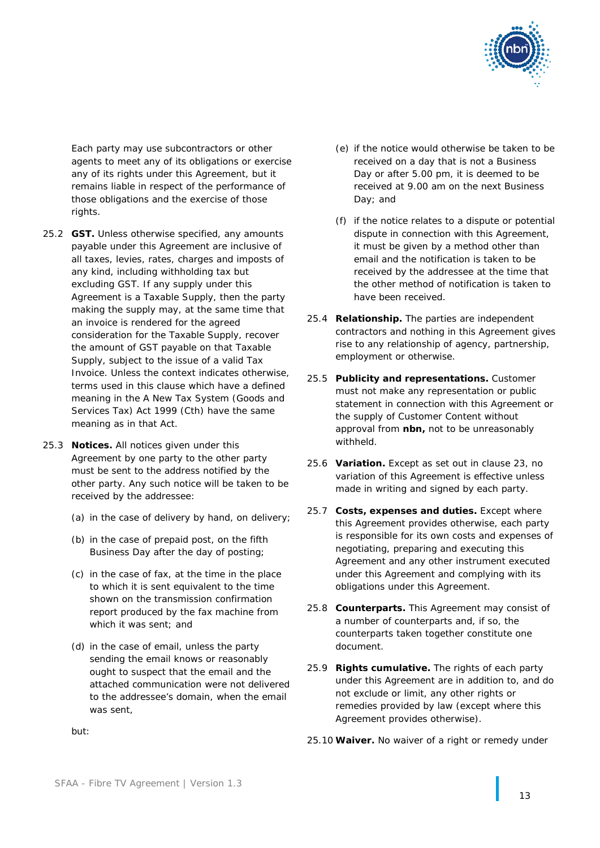

Each party may use subcontractors or other agents to meet any of its obligations or exercise any of its rights under this Agreement, but it remains liable in respect of the performance of those obligations and the exercise of those rights.

- <span id="page-14-0"></span>25.2 **GST.** Unless otherwise specified, any amounts payable under this Agreement are inclusive of all taxes, levies, rates, charges and imposts of any kind, including withholding tax but excluding GST. If any supply under this Agreement is a Taxable Supply, then the party making the supply may, at the same time that an invoice is rendered for the agreed consideration for the Taxable Supply, recover the amount of GST payable on that Taxable Supply, subject to the issue of a valid Tax Invoice. Unless the context indicates otherwise, terms used in this clause which have a defined meaning in the *A New Tax System (Goods and Services Tax) Act 1999* (Cth) have the same meaning as in that Act.
- <span id="page-14-1"></span>25.3 **Notices.** All notices given under this Agreement by one party to the other party must be sent to the address notified by the other party. Any such notice will be taken to be received by the addressee:
	- (a) in the case of delivery by hand, on delivery;
	- (b) in the case of prepaid post, on the fifth Business Day after the day of posting;
	- (c) in the case of fax, at the time in the place to which it is sent equivalent to the time shown on the transmission confirmation report produced by the fax machine from which it was sent; and
	- (d) in the case of email, unless the party sending the email knows or reasonably ought to suspect that the email and the attached communication were not delivered to the addressee's domain, when the email was sent,
- (e) if the notice would otherwise be taken to be received on a day that is not a Business Day or after 5.00 pm, it is deemed to be received at 9.00 am on the next Business Day; and
- (f) if the notice relates to a dispute or potential dispute in connection with this Agreement, it must be given by a method other than email and the notification is taken to be received by the addressee at the time that the other method of notification is taken to have been received.
- 25.4 **Relationship.** The parties are independent contractors and nothing in this Agreement gives rise to any relationship of agency, partnership, employment or otherwise.
- 25.5 **Publicity and representations.** Customer must not make any representation or public statement in connection with this Agreement or the supply of Customer Content without approval from **nbn,** not to be unreasonably withheld.
- 25.6 **Variation.** Except as set out in clause [23,](#page-13-2) no variation of this Agreement is effective unless made in writing and signed by each party.
- 25.7 **Costs, expenses and duties.** Except where this Agreement provides otherwise, each party is responsible for its own costs and expenses of negotiating, preparing and executing this Agreement and any other instrument executed under this Agreement and complying with its obligations under this Agreement.
- 25.8 **Counterparts.** This Agreement may consist of a number of counterparts and, if so, the counterparts taken together constitute one document.
- 25.9 **Rights cumulative.** The rights of each party under this Agreement are in addition to, and do not exclude or limit, any other rights or remedies provided by law (except where this Agreement provides otherwise).
- 25.10 **Waiver.** No waiver of a right or remedy under

but: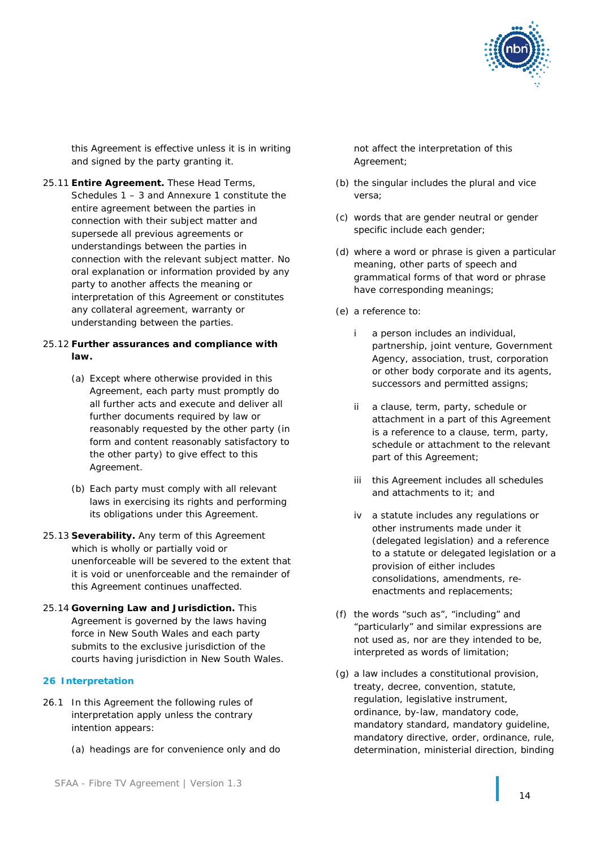

this Agreement is effective unless it is in writing and signed by the party granting it.

25.11 **Entire Agreement.** These Head Terms, Schedules 1 – 3 and Annexure 1 constitute the entire agreement between the parties in connection with their subject matter and supersede all previous agreements or understandings between the parties in connection with the relevant subject matter. No oral explanation or information provided by any party to another affects the meaning or interpretation of this Agreement or constitutes any collateral agreement, warranty or understanding between the parties.

### 25.12 **Further assurances and compliance with law.**

- (a) Except where otherwise provided in this Agreement, each party must promptly do all further acts and execute and deliver all further documents required by law or reasonably requested by the other party (in form and content reasonably satisfactory to the other party) to give effect to this Agreement.
- <span id="page-15-0"></span>(b) Each party must comply with all relevant laws in exercising its rights and performing its obligations under this Agreement.
- 25.13 **Severability.** Any term of this Agreement which is wholly or partially void or unenforceable will be severed to the extent that it is void or unenforceable and the remainder of this Agreement continues unaffected.
- <span id="page-15-1"></span>25.14 **Governing Law and Jurisdiction.** This Agreement is governed by the laws having force in New South Wales and each party submits to the exclusive jurisdiction of the courts having jurisdiction in New South Wales.

### <span id="page-15-2"></span>**26 Interpretation**

- 26.1 In this Agreement the following rules of interpretation apply unless the contrary intention appears:
	- (a) headings are for convenience only and do

not affect the interpretation of this Agreement;

- (b) the singular includes the plural and vice versa;
- (c) words that are gender neutral or gender specific include each gender;
- (d) where a word or phrase is given a particular meaning, other parts of speech and grammatical forms of that word or phrase have corresponding meanings;
- (e) a reference to:
	- i a person includes an individual, partnership, joint venture, Government Agency, association, trust, corporation or other body corporate and its agents, successors and permitted assigns;
	- ii a clause, term, party, schedule or attachment in a part of this Agreement is a reference to a clause, term, party, schedule or attachment to the relevant part of this Agreement;
	- iii this Agreement includes all schedules and attachments to it; and
	- iv a statute includes any regulations or other instruments made under it (delegated legislation) and a reference to a statute or delegated legislation or a provision of either includes consolidations, amendments, reenactments and replacements;
- (f) the words "such as", "including" and "particularly" and similar expressions are not used as, nor are they intended to be, interpreted as words of limitation;
- (g) a law includes a constitutional provision, treaty, decree, convention, statute, regulation, legislative instrument, ordinance, by-law, mandatory code, mandatory standard, mandatory guideline, mandatory directive, order, ordinance, rule, determination, ministerial direction, binding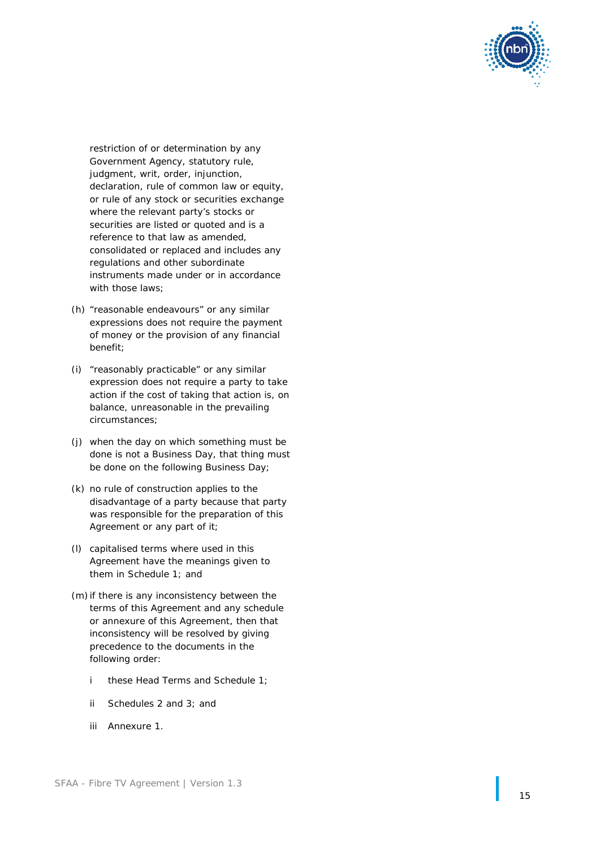

restriction of or determination by any Government Agency, statutory rule, judgment, writ, order, injunction, declaration, rule of common law or equity, or rule of any stock or securities exchange where the relevant party's stocks or securities are listed or quoted and is a reference to that law as amended, consolidated or replaced and includes any regulations and other subordinate instruments made under or in accordance with those laws:

- (h) "reasonable endeavours" or any similar expressions does not require the payment of money or the provision of any financial benefit;
- (i) "reasonably practicable" or any similar expression does not require a party to take action if the cost of taking that action is, on balance, unreasonable in the prevailing circumstances;
- (j) when the day on which something must be done is not a Business Day, that thing must be done on the following Business Day;
- (k) no rule of construction applies to the disadvantage of a party because that party was responsible for the preparation of this Agreement or any part of it;
- (l) capitalised terms where used in this Agreement have the meanings given to them in Schedule 1; and
- (m) if there is any inconsistency between the terms of this Agreement and any schedule or annexure of this Agreement, then that inconsistency will be resolved by giving precedence to the documents in the following order:<br>i these Head Terms and Schedule 1;
	-
	- ii Schedule s 2 and 3; and
	- iii Annexure 1 .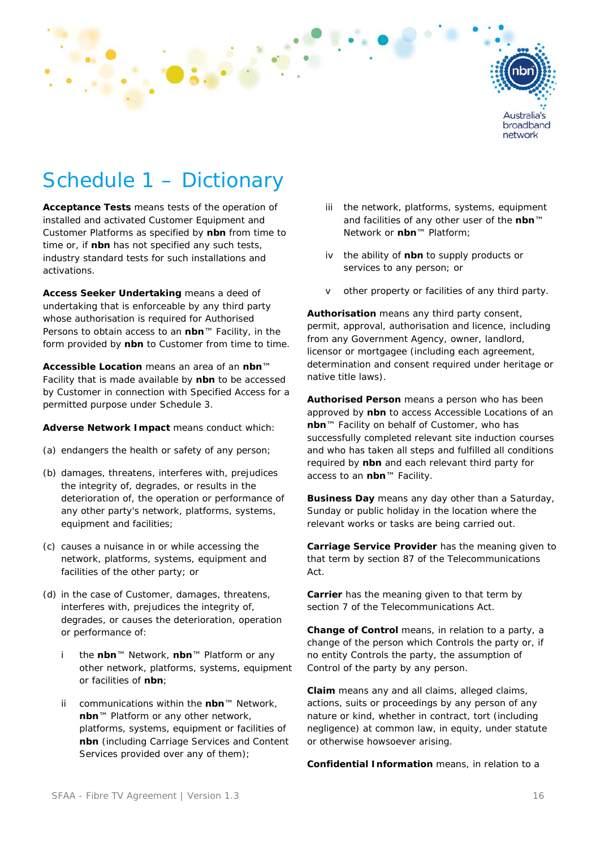

# Schedule 1 – Dictionary

**Acceptance Tests** means tests of the operation of installed and activated Customer Equipment and Customer Platforms as specified by **nbn** from time to time or, if **nbn** has not specified any such tests, industry standard tests for such installations and activations.

**Access Seeker Undertaking** means a deed of undertaking that is enforceable by any third party whose authorisation is required for Authorised Persons to obtain access to an **nbn**™ Facility, in the form provided by **nbn** to Customer from time to time.

**Accessible Location** means an area of an **nbn**™ Facility that is made available by **nbn** to be accessed by Customer in connection with Specified Access for a permitted purpose under Schedule 3.

**Adverse Network Impact** means conduct which:

- (a) endangers the health or safety of any person;
- (b) damages, threatens, interferes with, prejudices the integrity of, degrades, or results in the deterioration of, the operation or performance of any other party's network, platforms, systems, equipment and facilities;
- (c) causes a nuisance in or while accessing the network, platforms, systems, equipment and facilities of the other party; or
- (d) in the case of Customer, damages, threatens, interferes with, prejudices the integrity of, degrades, or causes the deterioration, operation or performance of:
	- i the **nbn**™ Network, **nbn**™ Platform or any other network, platforms, systems, equipment or facilities of **nbn**;
	- ii communications within the **nbn**™ Network, **nbn**™ Platform or any other network, platforms, systems, equipment or facilities of **nbn** (including Carriage Services and Content Services provided over any of them);
- iii the network, platforms, systems, equipment and facilities of any other user of the **nbn**™ Network or **nbn**™ Platform;
- iv the ability of **nbn** to supply products or services to any person; or
- v other property or facilities of any third party.

**Authorisation** means any third party consent, permit, approval, authorisation and licence, including from any Government Agency, owner, landlord, licensor or mortgagee (including each agreement, determination and consent required under heritage or native title laws).

**Authorised Person** means a person who has been approved by **nbn** to access Accessible Locations of an **nbn**™ Facility on behalf of Customer, who has successfully completed relevant site induction courses and who has taken all steps and fulfilled all conditions required by **nbn** and each relevant third party for access to an **nbn**™ Facility.

**Business Day** means any day other than a Saturday, Sunday or public holiday in the location where the relevant works or tasks are being carried out.

**Carriage Service Provider** has the meaning given to that term by section 87 of the Telecommunications Act.

**Carrier** has the meaning given to that term by section 7 of the Telecommunications Act.

**Change of Control** means, in relation to a party, a change of the person which Controls the party or, if no entity Controls the party, the assumption of Control of the party by any person.

**Claim** means any and all claims, alleged claims, actions, suits or proceedings by any person of any nature or kind, whether in contract, tort (including negligence) at common law, in equity, under statute or otherwise howsoever arising.

**Confidential Information** means, in relation to a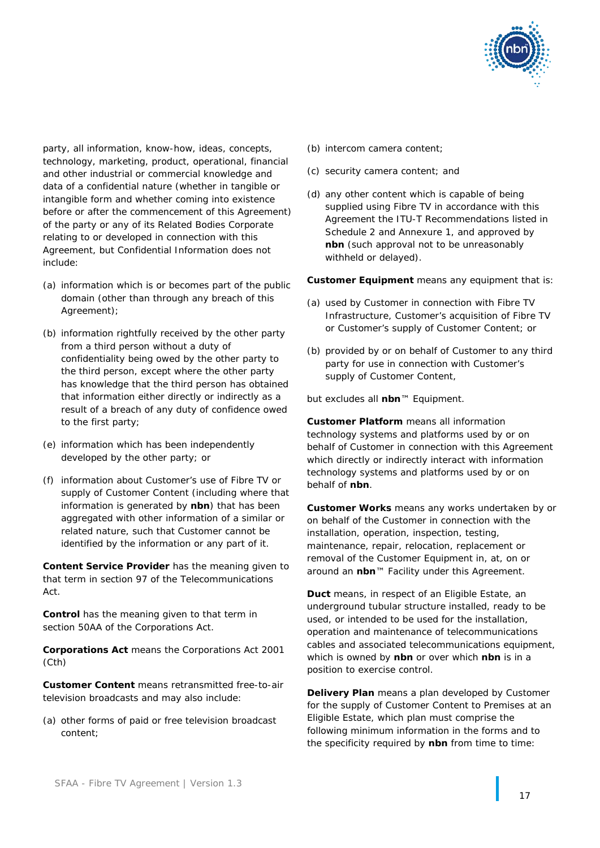

party, all information, know-how, ideas, concepts, technology, marketing, product, operational, financial and other industrial or commercial knowledge and data of a confidential nature (whether in tangible or intangible form and whether coming into existence before or after the commencement of this Agreement) of the party or any of its Related Bodies Corporate relating to or developed in connection with this Agreement, but Confidential Information does not include:

- (a) information which is or becomes part of the public domain (other than through any breach of this Agreement);
- (b) information rightfully received by the other party from a third person without a duty of confidentiality being owed by the other party to the third person, except where the other party has knowledge that the third person has obtained that information either directly or indirectly as a result of a breach of any duty of confidence owed to the first party;
- (e) information which has been independently developed by the other party; or
- (f) information about Customer's use of Fibre TV or supply of Customer Content (including where that information is generated by **nbn**) that has been aggregated with other information of a similar or related nature, such that Customer cannot be identified by the information or any part of it.

**Content Service Provider** has the meaning given to that term in section 97 of the Telecommunications Act.

**Control** has the meaning given to that term in section 50AA of the Corporations Act.

**Corporations Act** means the *Corporations Act 2001*  (Cth)

**Customer Content** means retransmitted free-to-air television broadcasts and may also include:

(a) other forms of paid or free television broadcast content;

- (b) intercom camera content;
- (c) security camera content; and
- (d) any other content which is capable of being supplied using Fibre TV in accordance with this Agreement the ITU-T Recommendations listed in Schedule 2 and Annexure 1, and approved by **nbn** (such approval not to be unreasonably withheld or delayed).

**Customer Equipment** means any equipment that is:

- (a) used by Customer in connection with Fibre TV Infrastructure, Customer's acquisition of Fibre TV or Customer's supply of Customer Content; or
- (b) provided by or on behalf of Customer to any third party for use in connection with Customer's supply of Customer Content,

but excludes all **nbn**™ Equipment.

**Customer Platform** means all information technology systems and platforms used by or on behalf of Customer in connection with this Agreement which directly or indirectly interact with information technology systems and platforms used by or on behalf of **nbn**.

**Customer Works** means any works undertaken by or on behalf of the Customer in connection with the installation, operation, inspection, testing, maintenance, repair, relocation, replacement or removal of the Customer Equipment in, at, on or around an **nbn**™ Facility under this Agreement.

**Duct** means, in respect of an Eligible Estate, an underground tubular structure installed, ready to be used, or intended to be used for the installation, operation and maintenance of telecommunications cables and associated telecommunications equipment, which is owned by **nbn** or over which **nbn** is in a position to exercise control.

**Delivery Plan** means a plan developed by Customer for the supply of Customer Content to Premises at an Eligible Estate, which plan must comprise the following minimum information in the forms and to the specificity required by **nbn** from time to time: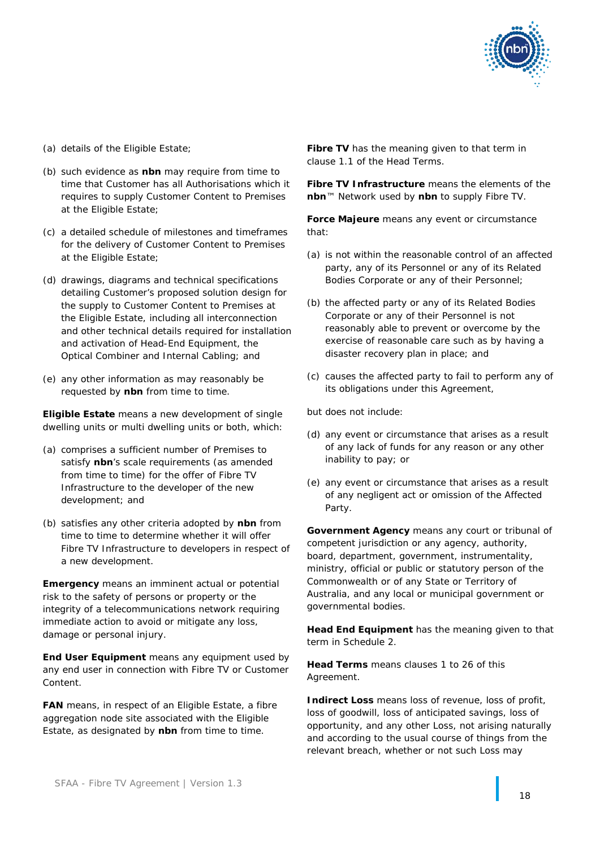

- (a) details of the Eligible Estate;
- (b) such evidence as **nbn** may require from time to time that Customer has all Authorisations which it requires to supply Customer Content to Premises at the Eligible Estate;
- (c) a detailed schedule of milestones and timeframes for the delivery of Customer Content to Premises at the Eligible Estate;
- (d) drawings, diagrams and technical specifications detailing Customer's proposed solution design for the supply to Customer Content to Premises at the Eligible Estate, including all interconnection and other technical details required for installation and activation of Head-End Equipment, the Optical Combiner and Internal Cabling; and
- (e) any other information as may reasonably be requested by **nbn** from time to time.

**Eligible Estate** means a new development of single dwelling units or multi dwelling units or both, which:

- (a) comprises a sufficient number of Premises to satisfy **nbn**'s scale requirements (as amended from time to time) for the offer of Fibre TV Infrastructure to the developer of the new development; and
- (b) satisfies any other criteria adopted by **nbn** from time to time to determine whether it will offer Fibre TV Infrastructure to developers in respect of a new development.

**Emergency** means an imminent actual or potential risk to the safety of persons or property or the integrity of a telecommunications network requiring immediate action to avoid or mitigate any loss, damage or personal injury.

**End User Equipment** means any equipment used by any end user in connection with Fibre TV or Customer Content.

**FAN** means, in respect of an Eligible Estate, a fibre aggregation node site associated with the Eligible Estate, as designated by **nbn** from time to time.

**Fibre TV** has the meaning given to that term in clause [1.1](#page-2-0) of the Head Terms.

**Fibre TV Infrastructure** means the elements of the **nbn**™ Network used by **nbn** to supply Fibre TV.

**Force Majeure** means any event or circumstance that:

- (a) is not within the reasonable control of an affected party, any of its Personnel or any of its Related Bodies Corporate or any of their Personnel;
- (b) the affected party or any of its Related Bodies Corporate or any of their Personnel is not reasonably able to prevent or overcome by the exercise of reasonable care such as by having a disaster recovery plan in place; and
- (c) causes the affected party to fail to perform any of its obligations under this Agreement,

but does not include:

- (d) any event or circumstance that arises as a result of any lack of funds for any reason or any other inability to pay; or
- (e) any event or circumstance that arises as a result of any negligent act or omission of the Affected Party.

**Government Agency** means any court or tribunal of competent jurisdiction or any agency, authority, board, department, government, instrumentality, ministry, official or public or statutory person of the Commonwealth or of any State or Territory of Australia, and any local or municipal government or governmental bodies.

**Head End Equipment** has the meaning given to that term in Schedule 2.

**Head Terms** means clauses [1](#page-2-3) to [26](#page-15-2) of this Agreement.

**Indirect Loss** means loss of revenue, loss of profit, loss of goodwill, loss of anticipated savings, loss of opportunity, and any other Loss, not arising naturally and according to the usual course of things from the relevant breach, whether or not such Loss may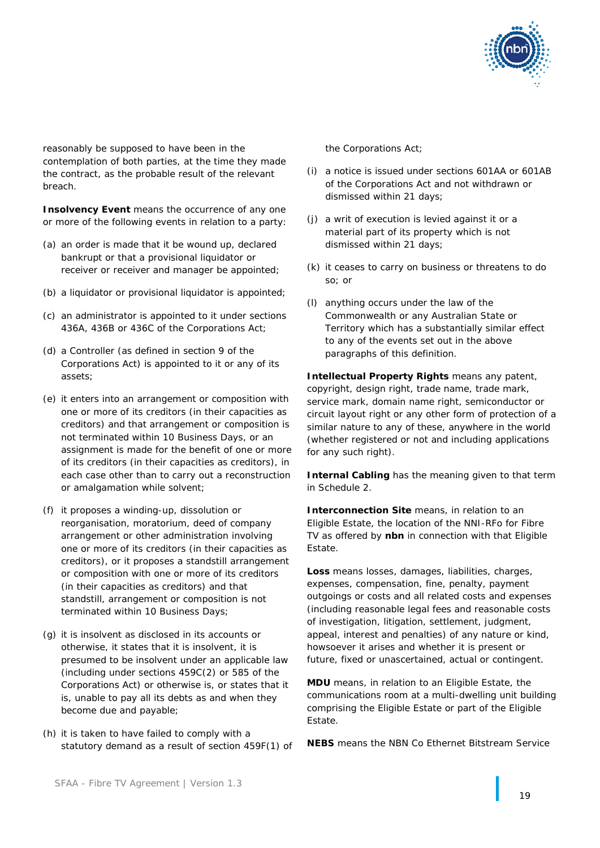

reasonably be supposed to have been in the contemplation of both parties, at the time they made the contract, as the probable result of the relevant breach.

**Insolvency Event** means the occurrence of any one or more of the following events in relation to a party:

- (a) an order is made that it be wound up, declared bankrupt or that a provisional liquidator or receiver or receiver and manager be appointed;
- (b) a liquidator or provisional liquidator is appointed;
- (c) an administrator is appointed to it under sections 436A, 436B or 436C of the Corporations Act;
- (d) a Controller (as defined in section 9 of the Corporations Act) is appointed to it or any of its assets;
- (e) it enters into an arrangement or composition with one or more of its creditors (in their capacities as creditors) and that arrangement or composition is not terminated within 10 Business Days, or an assignment is made for the benefit of one or more of its creditors (in their capacities as creditors), in each case other than to carry out a reconstruction or amalgamation while solvent;
- (f) it proposes a winding-up, dissolution or reorganisation, moratorium, deed of company arrangement or other administration involving one or more of its creditors (in their capacities as creditors), or it proposes a standstill arrangement or composition with one or more of its creditors (in their capacities as creditors) and that standstill, arrangement or composition is not terminated within 10 Business Days;
- (g) it is insolvent as disclosed in its accounts or otherwise, it states that it is insolvent, it is presumed to be insolvent under an applicable law (including under sections 459C(2) or 585 of the Corporations Act) or otherwise is, or states that it is, unable to pay all its debts as and when they become due and payable;
- (h) it is taken to have failed to comply with a statutory demand as a result of section 459F(1) of

the Corporations Act;

- (i) a notice is issued under sections 601AA or 601AB of the Corporations Act and not withdrawn or dismissed within 21 days;
- (j) a writ of execution is levied against it or a material part of its property which is not dismissed within 21 days;
- (k) it ceases to carry on business or threatens to do so; or
- (l) anything occurs under the law of the Commonwealth or any Australian State or Territory which has a substantially similar effect to any of the events set out in the above paragraphs of this definition.

**Intellectual Property Rights** means any patent, copyright, design right, trade name, trade mark, service mark, domain name right, semiconductor or circuit layout right or any other form of protection of a similar nature to any of these, anywhere in the world (whether registered or not and including applications for any such right).

**Internal Cabling** has the meaning given to that term in Schedule 2.

**Interconnection Site means, in relation to an** Eligible Estate, the location of the NNI-RFo for Fibre TV as offered by **nbn** in connection with that Eligible Estate.

**Loss** means losses, damages, liabilities, charges, expenses, compensation, fine, penalty, payment outgoings or costs and all related costs and expenses (including reasonable legal fees and reasonable costs of investigation, litigation, settlement, judgment, appeal, interest and penalties) of any nature or kind, howsoever it arises and whether it is present or future, fixed or unascertained, actual or contingent.

**MDU** means, in relation to an Eligible Estate, the communications room at a multi-dwelling unit building comprising the Eligible Estate or part of the Eligible Estate.

**NEBS** means the NBN Co Ethernet Bitstream Service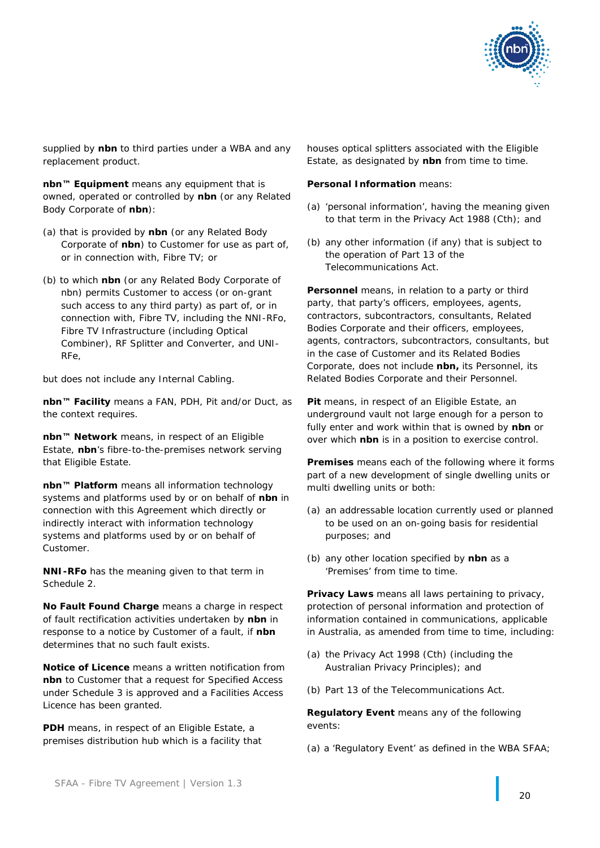

supplied by **nbn** to third parties under a WBA and any replacement product.

**nbn™ Equipment** means any equipment that is owned, operated or controlled by **nbn** (or any Related Body Corporate of **nbn**):

- (a) that is provided by **nbn** (or any Related Body Corporate of **nbn**) to Customer for use as part of, or in connection with, Fibre TV; or
- (b) to which **nbn** (or any Related Body Corporate of nbn) permits Customer to access (or on-grant such access to any third party) as part of, or in connection with, Fibre TV, including the NNI-RFo, Fibre TV Infrastructure (including Optical Combiner), RF Splitter and Converter, and UNI-RFe,

but does not include any Internal Cabling.

**nbn™ Facility** means a FAN, PDH, Pit and/or Duct, as the context requires.

**nbn™ Network** means, in respect of an Eligible Estate, **nbn**'s fibre-to-the-premises network serving that Eligible Estate.

**nbn™ Platform** means all information technology systems and platforms used by or on behalf of **nbn** in connection with this Agreement which directly or indirectly interact with information technology systems and platforms used by or on behalf of Customer.

**NNI-RFo** has the meaning given to that term in Schedule 2.

**No Fault Found Charge** means a charge in respect of fault rectification activities undertaken by **nbn** in response to a notice by Customer of a fault, if **nbn** determines that no such fault exists.

**Notice of Licence** means a written notification from **nbn** to Customer that a request for Specified Access under Schedule 3 is approved and a Facilities Access Licence has been granted.

**PDH** means, in respect of an Eligible Estate, a premises distribution hub which is a facility that houses optical splitters associated with the Eligible Estate, as designated by **nbn** from time to time.

### **Personal Information** means:

- (a) 'personal information', having the meaning given to that term in the *Privacy Act 1988* (Cth); and
- (b) any other information (if any) that is subject to the operation of Part 13 of the Telecommunications Act.

**Personnel** means, in relation to a party or third party, that party's officers, employees, agents, contractors, subcontractors, consultants, Related Bodies Corporate and their officers, employees, agents, contractors, subcontractors, consultants, but in the case of Customer and its Related Bodies Corporate, does not include **nbn,** its Personnel, its Related Bodies Corporate and their Personnel.

**Pit** means, in respect of an Eligible Estate, an underground vault not large enough for a person to fully enter and work within that is owned by **nbn** or over which **nbn** is in a position to exercise control.

**Premises** means each of the following where it forms part of a new development of single dwelling units or multi dwelling units or both:

- (a) an addressable location currently used or planned to be used on an on-going basis for residential purposes; and
- (b) any other location specified by **nbn** as a 'Premises' from time to time.

**Privacy Laws** means all laws pertaining to privacy, protection of personal information and protection of information contained in communications, applicable in Australia, as amended from time to time, including:

- (a) the *Privacy Act 1998* (Cth) (including the Australian Privacy Principles); and
- (b) Part 13 of the Telecommunications Act.

**Regulatory Event** means any of the following events:

(a) a 'Regulatory Event' as defined in the WBA SFAA;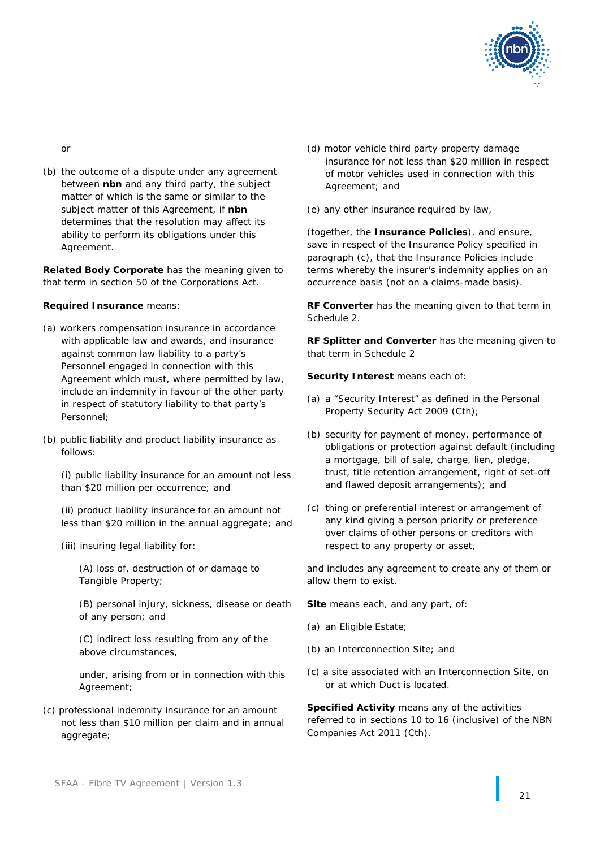

or

(b) the outcome of a dispute under any agreement between **nbn** and any third party, the subject matter of which is the same or similar to the subject matter of this Agreement, if **nbn** determines that the resolution may affect its ability to perform its obligations under this Agreement.

**Related Body Corporate** has the meaning given to that term in section 50 of the Corporations Act.

### **Required Insurance** means:

- (a) workers compensation insurance in accordance with applicable law and awards, and insurance against common law liability to a party's Personnel engaged in connection with this Agreement which must, where permitted by law, include an indemnity in favour of the other party in respect of statutory liability to that party's Personnel;
- (b) public liability and product liability insurance as follows:

(i) public liability insurance for an amount not less than \$20 million per occurrence; and

(ii) product liability insurance for an amount not less than \$20 million in the annual aggregate; and

(iii) insuring legal liability for:

(A) loss of, destruction of or damage to Tangible Property;

(B) personal injury, sickness, disease or death of any person; and

(C) indirect loss resulting from any of the above circumstances,

under, arising from or in connection with this Agreement;

(c) professional indemnity insurance for an amount not less than \$10 million per claim and in annual aggregate;

- (d) motor vehicle third party property damage insurance for not less than \$20 million in respect of motor vehicles used in connection with this Agreement; and
- (e) any other insurance required by law,

(together, the **Insurance Policies**), and ensure, save in respect of the Insurance Policy specified in paragraph (c), that the Insurance Policies include terms whereby the insurer's indemnity applies on an occurrence basis (not on a claims-made basis).

**RF Converter** has the meaning given to that term in Schedule 2.

**RF Splitter and Converter** has the meaning given to that term in Schedule 2

**Security Interest means each of:** 

- (a) a "Security Interest" as defined in the *Personal Property Security Act 2009* (Cth);
- (b) security for payment of money, performance of obligations or protection against default (including a mortgage, bill of sale, charge, lien, pledge, trust, title retention arrangement, right of set-off and flawed deposit arrangements); and
- (c) thing or preferential interest or arrangement of any kind giving a person priority or preference over claims of other persons or creditors with respect to any property or asset,

and includes any agreement to create any of them or allow them to exist.

**Site** means each, and any part, of:

- (a) an Eligible Estate;
- (b) an Interconnection Site; and
- (c) a site associated with an Interconnection Site, on or at which Duct is located.

**Specified Activity** means any of the activities referred to in sections 10 to 16 (inclusive) of the *NBN Companies Act 2011* (Cth).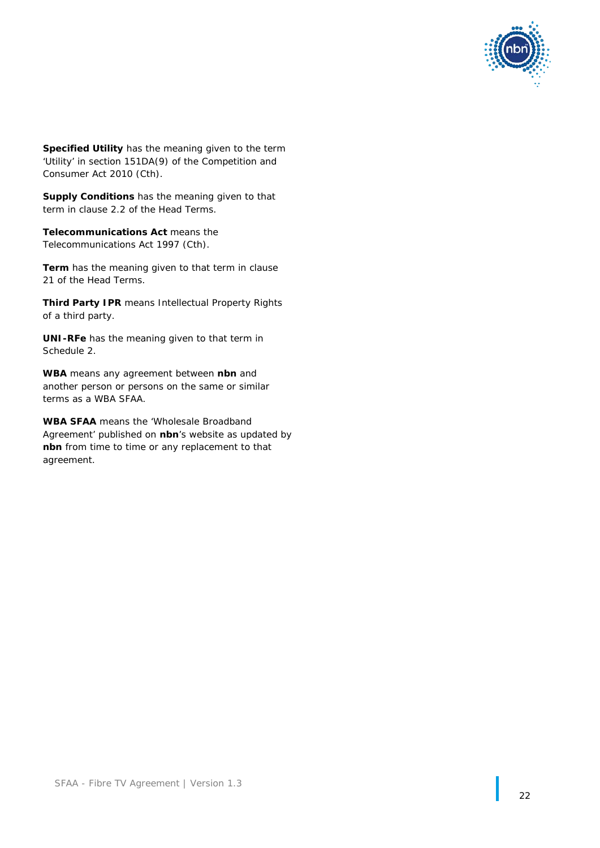

**Specified Utility** has the meaning given to the term 'Utility' in section 151DA(9) of the *Competition and Consumer Act 2010* (Cth).

**Supply Conditions** has the meaning given to that term in clause [2.2](#page-3-2) of the Head Terms.

**Telecommunications Act** means the *Telecommunications Act 1997* (Cth).

**Term** has the meaning given to that term in clause [21](#page-11-4) of the Head Terms.

**Third Party IPR** means Intellectual Property Rights of a third party.

**UNI-RFe** has the meaning given to that term in Schedule 2.

**WBA** means any agreement between **nbn** and another person or persons on the same or similar terms as a WBA SFAA.

**WBA SFAA** means the 'Wholesale Broadband Agreement' published on **nbn**'s website as updated by **nbn** from time to time or any replacement to that agreement.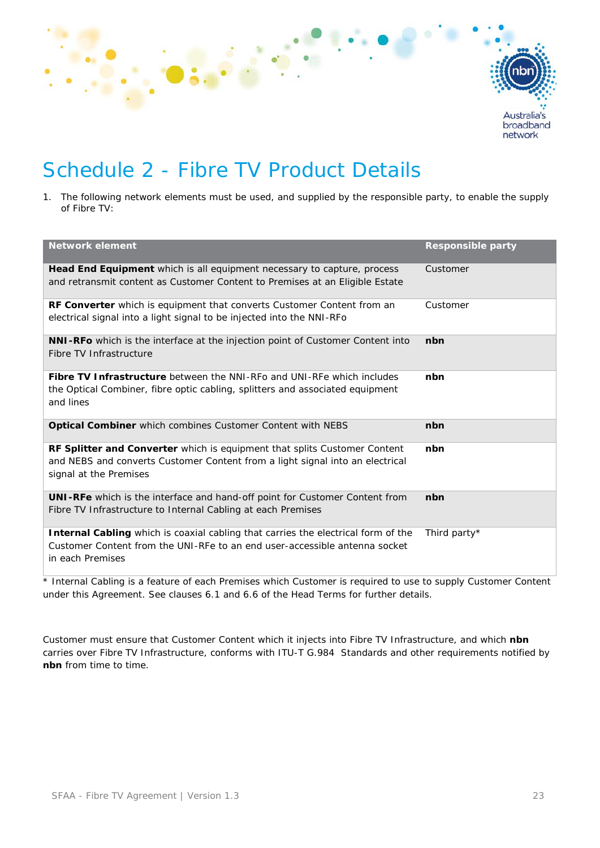

# Schedule 2 - Fibre TV Product Details

1. The following network elements must be used, and supplied by the responsible party, to enable the supply of Fibre TV:

| <b>Network element</b>                                                                                                                                                                      | <b>Responsible party</b> |
|---------------------------------------------------------------------------------------------------------------------------------------------------------------------------------------------|--------------------------|
|                                                                                                                                                                                             |                          |
| <b>Head End Equipment</b> which is all equipment necessary to capture, process<br>and retransmit content as Customer Content to Premises at an Eligible Estate                              | Customer                 |
| <b>RF Converter</b> which is equipment that converts Customer Content from an<br>electrical signal into a light signal to be injected into the NNI-RFo                                      | Customer                 |
| <b>NNI-RFo</b> which is the interface at the injection point of Customer Content into<br>Fibre TV Infrastructure                                                                            | nbn                      |
| <b>Fibre TV Infrastructure</b> between the NNI-RFo and UNI-RFe which includes<br>the Optical Combiner, fibre optic cabling, splitters and associated equipment<br>and lines                 | nbn                      |
| Optical Combiner which combines Customer Content with NEBS                                                                                                                                  | nbn                      |
| <b>RF Splitter and Converter</b> which is equipment that splits Customer Content<br>and NEBS and converts Customer Content from a light signal into an electrical<br>signal at the Premises | nbn                      |
| UNI-RFe which is the interface and hand-off point for Customer Content from<br>Fibre TV Infrastructure to Internal Cabling at each Premises                                                 | nbn                      |
| <b>Internal Cabling</b> which is coaxial cabling that carries the electrical form of the<br>Customer Content from the UNI-RFe to an end user-accessible antenna socket<br>in each Premises  | Third party*             |

\* Internal Cabling is a feature of each Premises which Customer is required to use to supply Customer Content under this Agreement. See clauses [6.1](#page-4-3) and [6.6](#page-5-4) of the Head Terms for further details.

Customer must ensure that Customer Content which it injects into Fibre TV Infrastructure, and which **nbn**  carries over Fibre TV Infrastructure, conforms with ITU-T G.984 Standards and other requirements notified by **nbn** from time to time.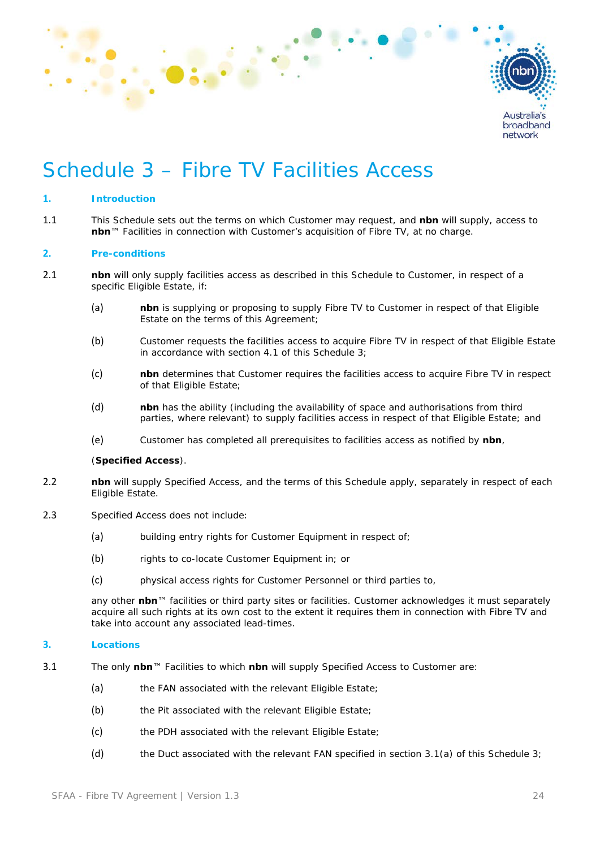

# Schedule 3 – Fibre TV Facilities Access

### **1. Introduction**

1.1 This Schedule sets out the terms on which Customer may request, and **nbn** will supply, access to **nbn**™ Facilities in connection with Customer's acquisition of Fibre TV, at no charge.

### **2. Pre-conditions**

- 2.1 **nbn** will only supply facilities access as described in this Schedule to Customer, in respect of a specific Eligible Estate, if:
	- (a) **nbn** is supplying or proposing to supply Fibre TV to Customer in respect of that Eligible Estate on the terms of this Agreement;
	- (b) Customer requests the facilities access to acquire Fibre TV in respect of that Eligible Estate in accordance with section [4.1](#page-26-0) of this Schedule 3;
	- (c) **nbn** determines that Customer requires the facilities access to acquire Fibre TV in respect of that Eligible Estate;
	- (d) **nbn** has the ability (including the availability of space and authorisations from third parties, where relevant) to supply facilities access in respect of that Eligible Estate; and
	- (e) Customer has completed all prerequisites to facilities access as notified by **nbn**,

### (**Specified Access**).

- 2.2 **nbn** will supply Specified Access, and the terms of this Schedule apply, separately in respect of each Eligible Estate.
- 2.3 Specified Access does not include:
	- (a) building entry rights for Customer Equipment in respect of:
	- (b) rights to co-locate Customer Equipment in; or
	- (c) physical access rights for Customer Personnel or third parties to,

any other **nbn**™ facilities or third party sites or facilities. Customer acknowledges it must separately acquire all such rights at its own cost to the extent it requires them in connection with Fibre TV and take into account any associated lead-times.

### **3. Locations**

- <span id="page-25-2"></span><span id="page-25-1"></span><span id="page-25-0"></span>3.1 The only **nbn**™ Facilities to which **nbn** will supply Specified Access to Customer are:
	- (a) the FAN associated with the relevant Eligible Estate;
	- (b) the Pit associated with the relevant Eligible Estate;
	- (c) the PDH associated with the relevant Eligible Estate;
	- (d) the Duct associated with the relevant FAN specified in section [3.1\(a\)](#page-25-0) of this Schedule 3;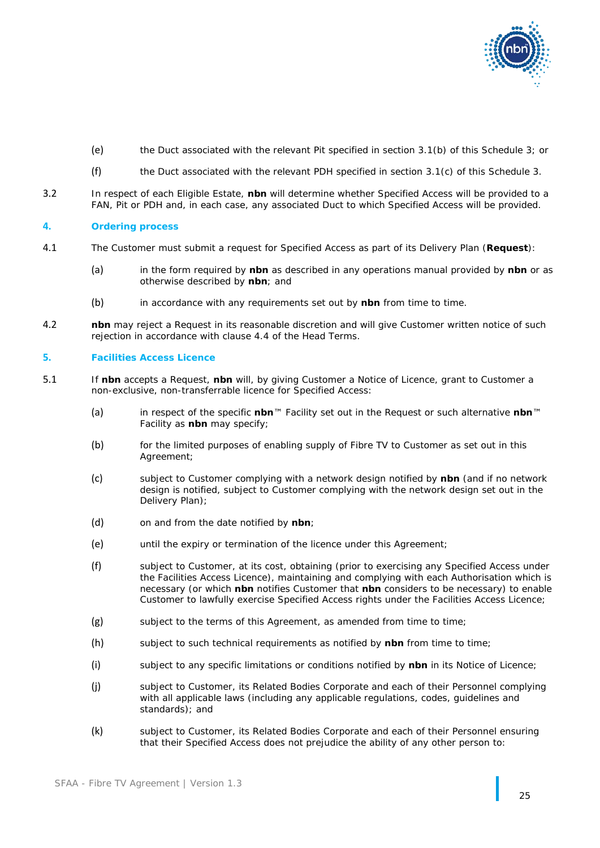

- (e) the Duct associated with the relevant Pit specified in section [3.1\(b\)](#page-25-1) of this Schedule 3; or
- (f) the Duct associated with the relevant PDH specified in section [3.1\(c\)](#page-25-2) of this Schedule 3.
- 3.2 In respect of each Eligible Estate, **nbn** will determine whether Specified Access will be provided to a FAN, Pit or PDH and, in each case, any associated Duct to which Specified Access will be provided.

### **4. Ordering process**

- <span id="page-26-0"></span>4.1 The Customer must submit a request for Specified Access as part of its Delivery Plan (**Request**):
	- (a) in the form required by **nbn** as described in any operations manual provided by **nbn** or as otherwise described by **nbn**; and
	- (b) in accordance with any requirements set out by **nbn** from time to time.
- 4.2 **nbn** may reject a Request in its reasonable discretion and will give Customer written notice of such rejection in accordance with clause [4.4](#page-3-3) of the Head Terms.

### **5. Facilities Access Licence**

- <span id="page-26-2"></span><span id="page-26-1"></span>5.1 If **nbn** accepts a Request, **nbn** will, by giving Customer a Notice of Licence, grant to Customer a non-exclusive, non-transferrable licence for Specified Access:
	- (a) in respect of the specific **nbn**™ Facility set out in the Request or such alternative **nbn**™ Facility as **nbn** may specify;
	- (b) for the limited purposes of enabling supply of Fibre TV to Customer as set out in this Agreement;
	- (c) subject to Customer complying with a network design notified by **nbn** (and if no network design is notified, subject to Customer complying with the network design set out in the Delivery Plan);
	- (d) on and from the date notified by **nbn**;
	- (e) until the expiry or termination of the licence under this Agreement;
	- (f) subject to Customer, at its cost, obtaining (prior to exercising any Specified Access under the Facilities Access Licence), maintaining and complying with each Authorisation which is necessary (or which **nbn** notifies Customer that **nbn** considers to be necessary) to enable Customer to lawfully exercise Specified Access rights under the Facilities Access Licence;
	- (g) subject to the terms of this Agreement, as amended from time to time;
	- (h) subject to such technical requirements as notified by **nbn** from time to time;
	- (i) subject to any specific limitations or conditions notified by **nbn** in its Notice of Licence;
	- (j) subject to Customer, its Related Bodies Corporate and each of their Personnel complying with all applicable laws (including any applicable regulations, codes, guidelines and standards); and
	- (k) subject to Customer, its Related Bodies Corporate and each of their Personnel ensuring that their Specified Access does not prejudice the ability of any other person to: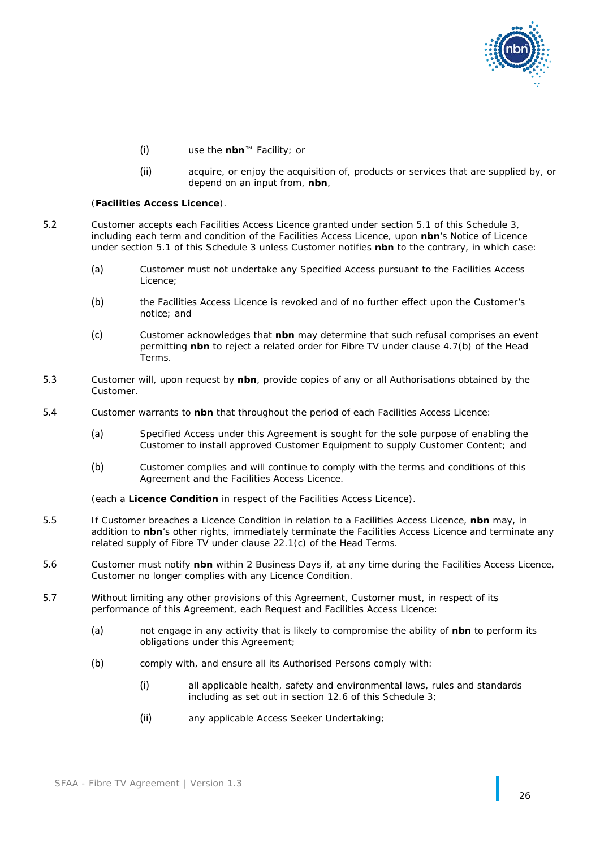

- (i) use the **nbn**™ Facility; or
- (ii) acquire, or enjoy the acquisition of, products or services that are supplied by, or depend on an input from, **nbn**,

#### (**Facilities Access Licence**).

- 5.2 Customer accepts each Facilities Access Licence granted under section [5.1](#page-26-1) of this Schedule 3, including each term and condition of the Facilities Access Licence, upon **nbn**'s Notice of Licence under section [5.1](#page-26-1) of this Schedule 3 unless Customer notifies **nbn** to the contrary, in which case:
	- (a) Customer must not undertake any Specified Access pursuant to the Facilities Access Licence;
	- (b) the Facilities Access Licence is revoked and of no further effect upon the Customer's notice; and
	- (c) Customer acknowledges that **nbn** may determine that such refusal comprises an event permitting **nbn** to reject a related order for Fibre TV under clause [4.7\(b\)](#page-4-4) of the Head .<br>Terms
- <span id="page-27-1"></span>5.3 Customer will, upon request by **nbn**, provide copies of any or all Authorisations obtained by the Customer.
- <span id="page-27-2"></span>5.4 Customer warrants to **nbn** that throughout the period of each Facilities Access Licence:
	- (a) Specified Access under this Agreement is sought for the sole purpose of enabling the Customer to install approved Customer Equipment to supply Customer Content; and
	- (b) Customer complies and will continue to comply with the terms and conditions of this Agreement and the Facilities Access Licence.

(each a **Licence Condition** in respect of the Facilities Access Licence).

- 5.5 If Customer breaches a Licence Condition in relation to a Facilities Access Licence, **nbn** may, in addition to **nbn**'s other rights, immediately terminate the Facilities Access Licence and terminate any related supply of Fibre TV under clause [22.1\(c\)](#page-11-5) of the Head Terms.
- 5.6 Customer must notify **nbn** within 2 Business Days if, at any time during the Facilities Access Licence, Customer no longer complies with any Licence Condition.
- <span id="page-27-0"></span>5.7 Without limiting any other provisions of this Agreement, Customer must, in respect of its performance of this Agreement, each Request and Facilities Access Licence:
	- (a) not engage in any activity that is likely to compromise the ability of **nbn** to perform its obligations under this Agreement;
	- (b) comply with, and ensure all its Authorised Persons comply with:
		- (i) all applicable health, safety and environmental laws, rules and standards including as set out in section [12.6](#page-32-0) of this Schedule 3;
		- (ii) any applicable Access Seeker Undertaking;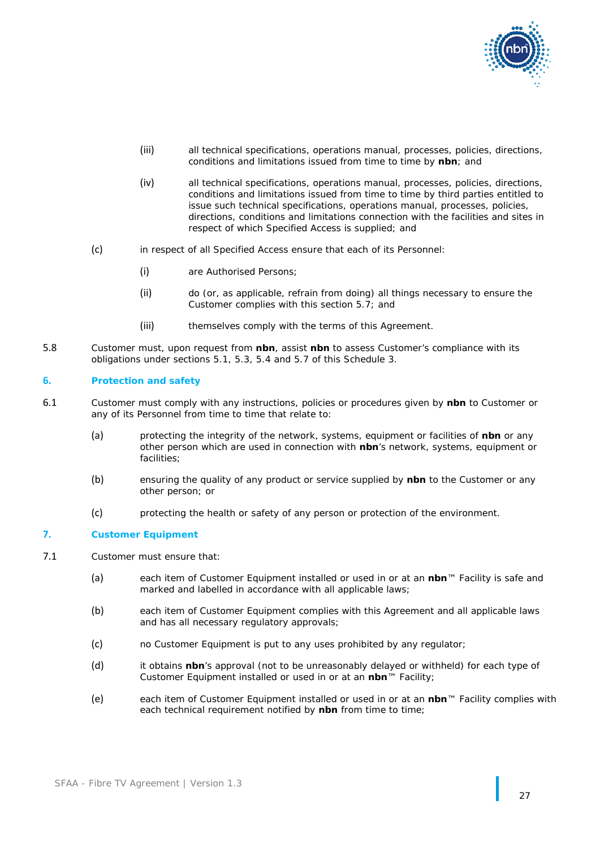

- (iii) all technical specifications, operations manual, processes, policies, directions, conditions and limitations issued from time to time by **nbn**; and
- (iv) all technical specifications, operations manual, processes, policies, directions, conditions and limitations issued from time to time by third parties entitled to issue such technical specifications, operations manual, processes, policies, directions, conditions and limitations connection with the facilities and sites in respect of which Specified Access is supplied; and
- (c) in respect of all Specified Access ensure that each of its Personnel:
	- (i) are Authorised Persons;
	- (ii) do (or, as applicable, refrain from doing) all things necessary to ensure the Customer complies with this section [5.7;](#page-27-0) and
	- (iii) themselves comply with the terms of this Agreement.
- 5.8 Customer must, upon request from **nbn**, assist **nbn** to assess Customer's compliance with its obligations under sections [5.1,](#page-26-1) [5.3,](#page-27-1) [5.4](#page-27-2) and [5.7](#page-27-0) of this Schedule 3.

### **6. Protection and safety**

- 6.1 Customer must comply with any instructions, policies or procedures given by **nbn** to Customer or any of its Personnel from time to time that relate to:
	- (a) protecting the integrity of the network, systems, equipment or facilities of **nbn** or any other person which are used in connection with **nbn**'s network, systems, equipment or facilities;
	- (b) ensuring the quality of any product or service supplied by **nbn** to the Customer or any other person; or
	- (c) protecting the health or safety of any person or protection of the environment.

### **7. Customer Equipment**

- 7.1 Customer must ensure that:
	- (a) each item of Customer Equipment installed or used in or at an **nbn**™ Facility is safe and marked and labelled in accordance with all applicable laws;
	- (b) each item of Customer Equipment complies with this Agreement and all applicable laws and has all necessary regulatory approvals;
	- (c) no Customer Equipment is put to any uses prohibited by any regulator;
	- (d) it obtains **nbn**'s approval (not to be unreasonably delayed or withheld) for each type of Customer Equipment installed or used in or at an **nbn**™ Facility;
	- (e) each item of Customer Equipment installed or used in or at an **nbn**™ Facility complies with each technical requirement notified by **nbn** from time to time;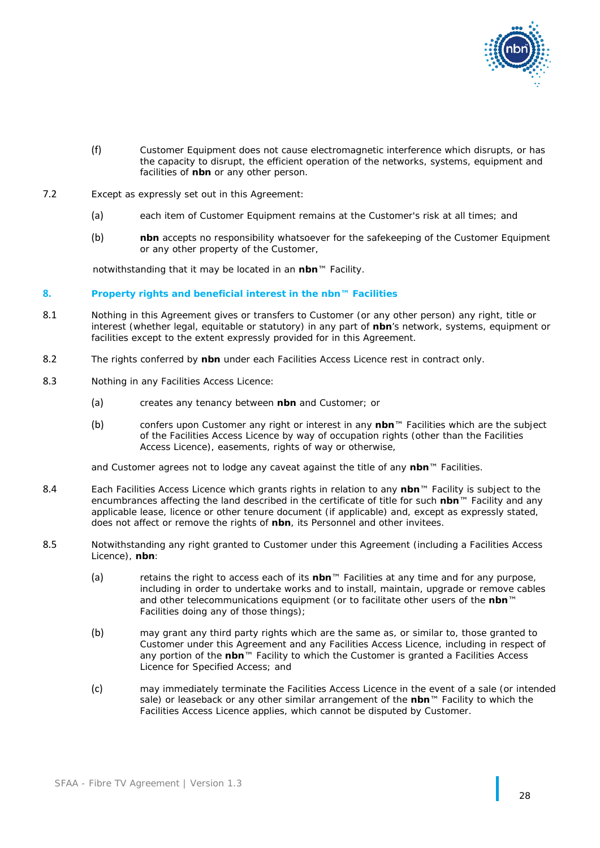

- (f) Customer Equipment does not cause electromagnetic interference which disrupts, or has the capacity to disrupt, the efficient operation of the networks, systems, equipment and facilities of **nbn** or any other person.
- 7.2 Except as expressly set out in this Agreement:
	- (a) each item of Customer Equipment remains at the Customer's risk at all times; and
	- (b) **nbn** accepts no responsibility whatsoever for the safekeeping of the Customer Equipment or any other property of the Customer,

notwithstanding that it may be located in an **nbn**™ Facility.

### **8. Property rights and beneficial interest in the nbn™ Facilities**

- 8.1 Nothing in this Agreement gives or transfers to Customer (or any other person) any right, title or interest (whether legal, equitable or statutory) in any part of **nbn**'s network, systems, equipment or facilities except to the extent expressly provided for in this Agreement.
- 8.2 The rights conferred by **nbn** under each Facilities Access Licence rest in contract only.
- 8.3 Nothing in any Facilities Access Licence:
	- (a) creates any tenancy between **nbn** and Customer; or
	- (b) confers upon Customer any right or interest in any **nbn**™ Facilities which are the subject of the Facilities Access Licence by way of occupation rights (other than the Facilities Access Licence), easements, rights of way or otherwise,

and Customer agrees not to lodge any caveat against the title of any **nbn**™ Facilities.

- 8.4 Each Facilities Access Licence which grants rights in relation to any **nbn**™ Facility is subject to the encumbrances affecting the land described in the certificate of title for such **nbn**™ Facility and any applicable lease, licence or other tenure document (if applicable) and, except as expressly stated, does not affect or remove the rights of **nbn**, its Personnel and other invitees.
- 8.5 Notwithstanding any right granted to Customer under this Agreement (including a Facilities Access Licence), **nbn**:
	- (a) retains the right to access each of its **nbn**™ Facilities at any time and for any purpose, including in order to undertake works and to install, maintain, upgrade or remove cables and other telecommunications equipment (or to facilitate other users of the **nbn**™ Facilities doing any of those things);
	- (b) may grant any third party rights which are the same as, or similar to, those granted to Customer under this Agreement and any Facilities Access Licence, including in respect of any portion of the **nbn**™ Facility to which the Customer is granted a Facilities Access Licence for Specified Access; and
	- (c) may immediately terminate the Facilities Access Licence in the event of a sale (or intended sale) or leaseback or any other similar arrangement of the **nbn**™ Facility to which the Facilities Access Licence applies, which cannot be disputed by Customer.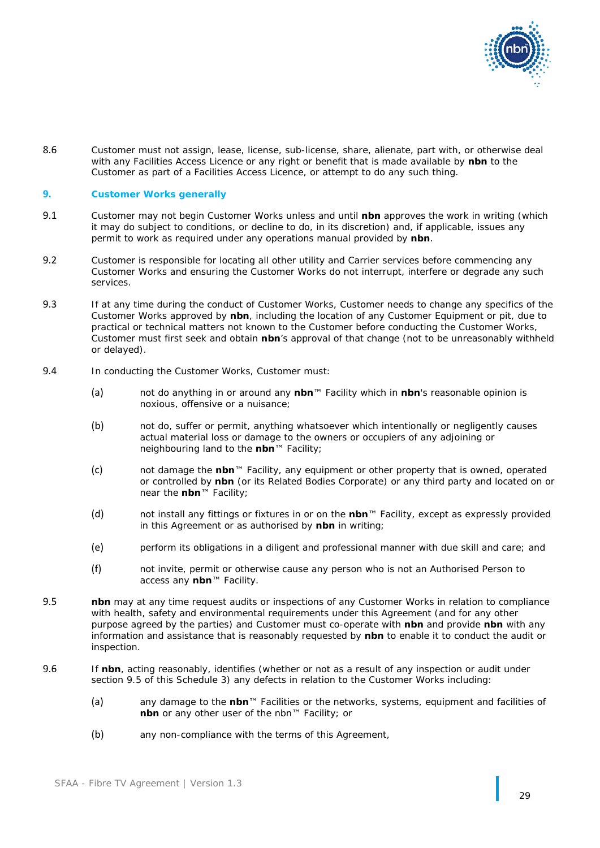

8.6 Customer must not assign, lease, license, sub-license, share, alienate, part with, or otherwise deal with any Facilities Access Licence or any right or benefit that is made available by **nbn** to the Customer as part of a Facilities Access Licence, or attempt to do any such thing.

### **9. Customer Works generally**

- 9.1 Customer may not begin Customer Works unless and until **nbn** approves the work in writing (which it may do subject to conditions, or decline to do, in its discretion) and, if applicable, issues any permit to work as required under any operations manual provided by **nbn**.
- 9.2 Customer is responsible for locating all other utility and Carrier services before commencing any Customer Works and ensuring the Customer Works do not interrupt, interfere or degrade any such services.
- 9.3 If at any time during the conduct of Customer Works, Customer needs to change any specifics of the Customer Works approved by **nbn**, including the location of any Customer Equipment or pit, due to practical or technical matters not known to the Customer before conducting the Customer Works, Customer must first seek and obtain **nbn**'s approval of that change (not to be unreasonably withheld or delayed).
- 9.4 In conducting the Customer Works, Customer must:
	- (a) not do anything in or around any **nbn**™ Facility which in **nbn**'s reasonable opinion is noxious, offensive or a nuisance;
	- (b) not do, suffer or permit, anything whatsoever which intentionally or negligently causes actual material loss or damage to the owners or occupiers of any adjoining or neighbouring land to the **nbn**™ Facility;
	- (c) not damage the **nbn**™ Facility, any equipment or other property that is owned, operated or controlled by **nbn** (or its Related Bodies Corporate) or any third party and located on or near the **nbn**™ Facility;
	- (d) not install any fittings or fixtures in or on the **nbn**™ Facility, except as expressly provided in this Agreement or as authorised by **nbn** in writing;
	- (e) perform its obligations in a diligent and professional manner with due skill and care; and
	- (f) not invite, permit or otherwise cause any person who is not an Authorised Person to access any **nbn**™ Facility.
- <span id="page-30-0"></span>9.5 **nbn** may at any time request audits or inspections of any Customer Works in relation to compliance with health, safety and environmental requirements under this Agreement (and for any other purpose agreed by the parties) and Customer must co-operate with **nbn** and provide **nbn** with any information and assistance that is reasonably requested by **nbn** to enable it to conduct the audit or inspection.
- 9.6 If **nbn**, acting reasonably, identifies (whether or not as a result of any inspection or audit under section [9.5](#page-30-0) of this Schedule 3) any defects in relation to the Customer Works including:
	- (a) any damage to the **nbn**™ Facilities or the networks, systems, equipment and facilities of **nbn** or any other user of the nbn™ Facility; or
	- (b) any non-compliance with the terms of this Agreement,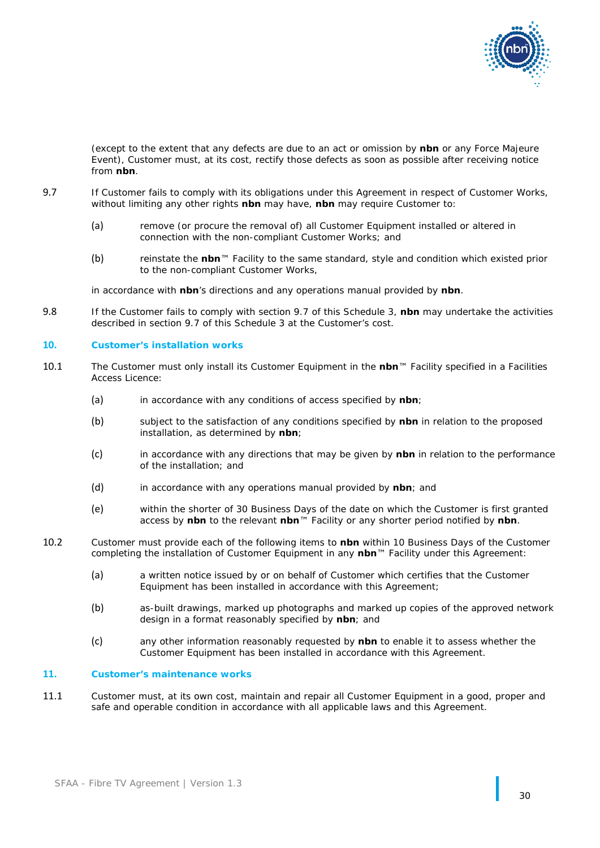

(except to the extent that any defects are due to an act or omission by **nbn** or any Force Majeure Event), Customer must, at its cost, rectify those defects as soon as possible after receiving notice from **nbn**.

- <span id="page-31-0"></span>9.7 If Customer fails to comply with its obligations under this Agreement in respect of Customer Works, without limiting any other rights **nbn** may have, **nbn** may require Customer to:
	- (a) remove (or procure the removal of) all Customer Equipment installed or altered in connection with the non-compliant Customer Works; and
	- (b) reinstate the **nbn**™ Facility to the same standard, style and condition which existed prior to the non-compliant Customer Works,

in accordance with **nbn**'s directions and any operations manual provided by **nbn**.

9.8 If the Customer fails to comply with section [9.7](#page-31-0) of this Schedule 3, **nbn** may undertake the activities described in section [9.7](#page-31-0) of this Schedule 3 at the Customer's cost.

### **10. Customer's installation works**

- 10.1 The Customer must only install its Customer Equipment in the **nbn**™ Facility specified in a Facilities Access Licence:
	- (a) in accordance with any conditions of access specified by **nbn**;
	- (b) subject to the satisfaction of any conditions specified by **nbn** in relation to the proposed installation, as determined by **nbn**;
	- (c) in accordance with any directions that may be given by **nbn** in relation to the performance of the installation; and
	- (d) in accordance with any operations manual provided by **nbn**; and
	- (e) within the shorter of 30 Business Days of the date on which the Customer is first granted access by **nbn** to the relevant **nbn**™ Facility or any shorter period notified by **nbn**.
- 10.2 Customer must provide each of the following items to **nbn** within 10 Business Days of the Customer completing the installation of Customer Equipment in any **nbn**™ Facility under this Agreement:
	- (a) a written notice issued by or on behalf of Customer which certifies that the Customer Equipment has been installed in accordance with this Agreement;
	- (b) as-built drawings, marked up photographs and marked up copies of the approved network design in a format reasonably specified by **nbn**; and
	- (c) any other information reasonably requested by **nbn** to enable it to assess whether the Customer Equipment has been installed in accordance with this Agreement.

### **11. Customer's maintenance works**

11.1 Customer must, at its own cost, maintain and repair all Customer Equipment in a good, proper and safe and operable condition in accordance with all applicable laws and this Agreement.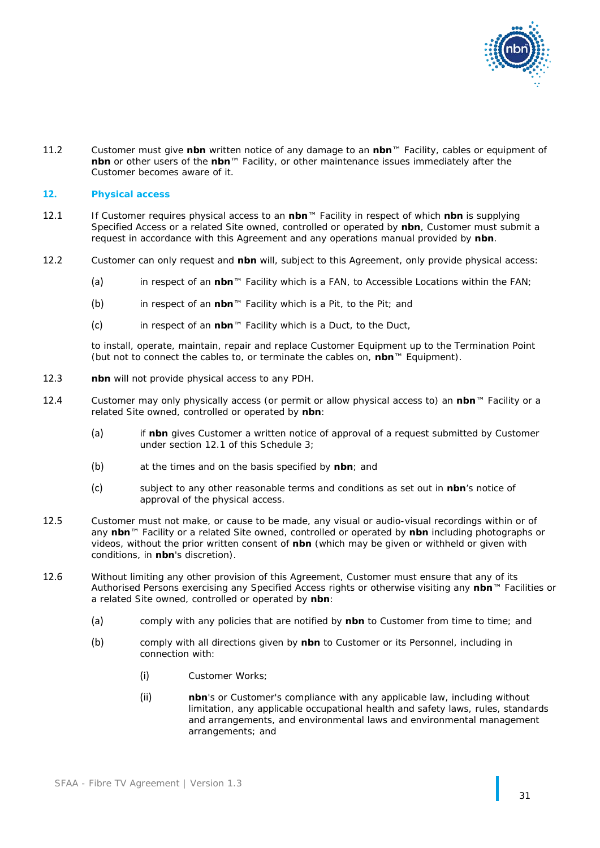

11.2 Customer must give **nbn** written notice of any damage to an **nbn**™ Facility, cables or equipment of **nbn** or other users of the **nbn**™ Facility, or other maintenance issues immediately after the Customer becomes aware of it.

### **12. Physical access**

- <span id="page-32-1"></span>12.1 If Customer requires physical access to an **nbn**™ Facility in respect of which **nbn** is supplying Specified Access or a related Site owned, controlled or operated by **nbn**, Customer must submit a request in accordance with this Agreement and any operations manual provided by **nbn**.
- 12.2 Customer can only request and **nbn** will, subject to this Agreement, only provide physical access:
	- (a) in respect of an **nbn**™ Facility which is a FAN, to Accessible Locations within the FAN;
	- (b) in respect of an **nbn**™ Facility which is a Pit, to the Pit; and
	- (c) in respect of an **nbn**™ Facility which is a Duct, to the Duct,

to install, operate, maintain, repair and replace Customer Equipment up to the Termination Point (but not to connect the cables to, or terminate the cables on, **nbn**™ Equipment).

- 12.3 **nbn** will not provide physical access to any PDH.
- 12.4 Customer may only physically access (or permit or allow physical access to) an **nbn**™ Facility or a related Site owned, controlled or operated by **nbn**:
	- (a) if **nbn** gives Customer a written notice of approval of a request submitted by Customer under section [12.1](#page-32-1) of this Schedule 3;
	- (b) at the times and on the basis specified by **nbn**; and
	- (c) subject to any other reasonable terms and conditions as set out in **nbn**'s notice of approval of the physical access.
- 12.5 Customer must not make, or cause to be made, any visual or audio-visual recordings within or of any **nbn**™ Facility or a related Site owned, controlled or operated by **nbn** including photographs or videos, without the prior written consent of **nbn** (which may be given or withheld or given with conditions, in **nbn**'s discretion).
- <span id="page-32-0"></span>12.6 Without limiting any other provision of this Agreement, Customer must ensure that any of its Authorised Persons exercising any Specified Access rights or otherwise visiting any **nbn**™ Facilities or a related Site owned, controlled or operated by **nbn**:
	- (a) comply with any policies that are notified by **nbn** to Customer from time to time; and
	- (b) comply with all directions given by **nbn** to Customer or its Personnel, including in connection with:
		- (i) Customer Works;
		- (ii) **nbn**'s or Customer's compliance with any applicable law, including without limitation, any applicable occupational health and safety laws, rules, standards and arrangements, and environmental laws and environmental management arrangements; and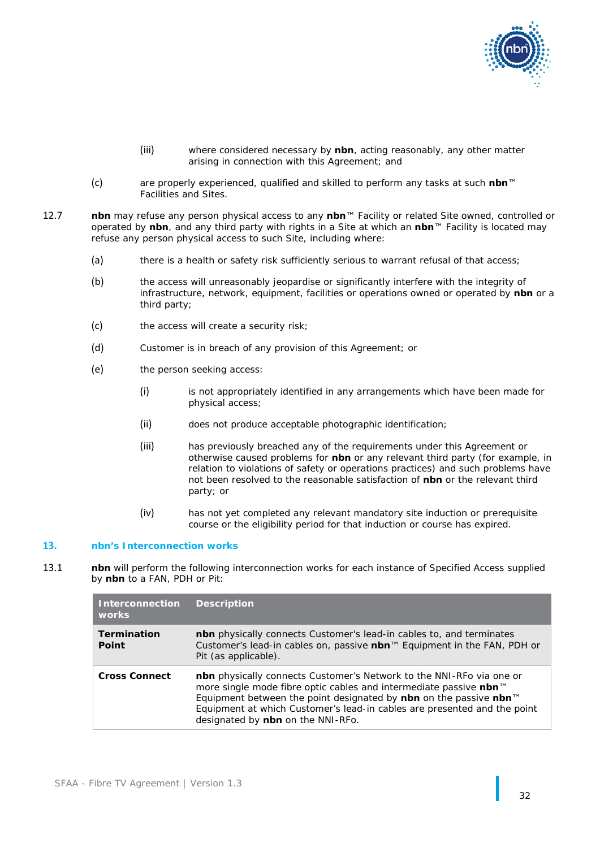

- (iii) where considered necessary by **nbn**, acting reasonably, any other matter arising in connection with this Agreement; and
- (c) are properly experienced, qualified and skilled to perform any tasks at such **nbn**™ Facilities and Sites.
- 12.7 **nbn** may refuse any person physical access to any **nbn**™ Facility or related Site owned, controlled or operated by **nbn**, and any third party with rights in a Site at which an **nbn**™ Facility is located may refuse any person physical access to such Site, including where:
	- (a) there is a health or safety risk sufficiently serious to warrant refusal of that access;
	- (b) the access will unreasonably jeopardise or significantly interfere with the integrity of infrastructure, network, equipment, facilities or operations owned or operated by **nbn** or a third party;
	- (c) the access will create a security risk;
	- (d) Customer is in breach of any provision of this Agreement; or
	- (e) the person seeking access:
		- (i) is not appropriately identified in any arrangements which have been made for physical access;
		- (ii) does not produce acceptable photographic identification;
		- (iii) has previously breached any of the requirements under this Agreement or otherwise caused problems for **nbn** or any relevant third party (for example, in relation to violations of safety or operations practices) and such problems have not been resolved to the reasonable satisfaction of **nbn** or the relevant third party; or
		- (iv) has not yet completed any relevant mandatory site induction or prerequisite course or the eligibility period for that induction or course has expired.

### **13. nbn's Interconnection works**

<span id="page-33-0"></span>13.1 **nbn** will perform the following interconnection works for each instance of Specified Access supplied by **nbn** to a FAN, PDH or Pit:

| <b>Interconnection</b><br><b>works</b> | <b>Description</b>                                                                                                                                                                                                                                                                                                                     |
|----------------------------------------|----------------------------------------------------------------------------------------------------------------------------------------------------------------------------------------------------------------------------------------------------------------------------------------------------------------------------------------|
| <b>Termination</b><br><b>Point</b>     | <b>nbn</b> physically connects Customer's lead-in cables to, and terminates<br>Customer's lead-in cables on, passive nbn™ Equipment in the FAN, PDH or<br>Pit (as applicable).                                                                                                                                                         |
| <b>Cross Connect</b>                   | <b>nbn</b> physically connects Customer's Network to the NNI-RFo via one or<br>more single mode fibre optic cables and intermediate passive nbn™<br>Equipment between the point designated by nbn on the passive nbn™<br>Equipment at which Customer's lead-in cables are presented and the point<br>designated by nbn on the NNI-RFo. |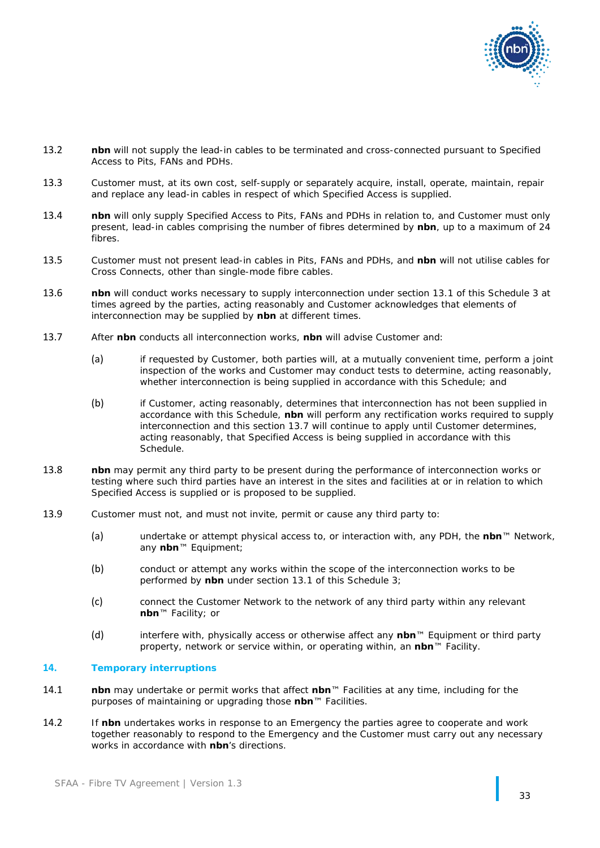

- 13.2 **nbn** will not supply the lead-in cables to be terminated and cross-connected pursuant to Specified Access to Pits, FANs and PDHs.
- 13.3 Customer must, at its own cost, self-supply or separately acquire, install, operate, maintain, repair and replace any lead-in cables in respect of which Specified Access is supplied.
- 13.4 **nbn** will only supply Specified Access to Pits, FANs and PDHs in relation to, and Customer must only present, lead-in cables comprising the number of fibres determined by **nbn**, up to a maximum of 24 fibres.
- 13.5 Customer must not present lead-in cables in Pits, FANs and PDHs, and **nbn** will not utilise cables for Cross Connects, other than single-mode fibre cables.
- 13.6 **nbn** will conduct works necessary to supply interconnection under section [13.1](#page-33-0) of this Schedule 3 at times agreed by the parties, acting reasonably and Customer acknowledges that elements of interconnection may be supplied by **nbn** at different times.
- <span id="page-34-0"></span>13.7 After **nbn** conducts all interconnection works, **nbn** will advise Customer and:
	- (a) if requested by Customer, both parties will, at a mutually convenient time, perform a joint inspection of the works and Customer may conduct tests to determine, acting reasonably, whether interconnection is being supplied in accordance with this Schedule; and
	- (b) if Customer, acting reasonably, determines that interconnection has not been supplied in accordance with this Schedule, **nbn** will perform any rectification works required to supply interconnection and this section [13.7](#page-34-0) will continue to apply until Customer determines, acting reasonably, that Specified Access is being supplied in accordance with this Schedule.
- 13.8 **nbn** may permit any third party to be present during the performance of interconnection works or testing where such third parties have an interest in the sites and facilities at or in relation to which Specified Access is supplied or is proposed to be supplied.
- 13.9 Customer must not, and must not invite, permit or cause any third party to:
	- (a) undertake or attempt physical access to, or interaction with, any PDH, the **nbn**™ Network, any **nbn**™ Equipment;
	- (b) conduct or attempt any works within the scope of the interconnection works to be performed by **nbn** under section [13.1](#page-33-0) of this Schedule 3;
	- (c) connect the Customer Network to the network of any third party within any relevant **nbn**™ Facility; or
	- (d) interfere with, physically access or otherwise affect any **nbn**™ Equipment or third party property, network or service within, or operating within, an **nbn**™ Facility.

### **14. Temporary interruptions**

- 14.1 **nbn** may undertake or permit works that affect **nbn**™ Facilities at any time, including for the purposes of maintaining or upgrading those **nbn**™ Facilities.
- 14.2 If **nbn** undertakes works in response to an Emergency the parties agree to cooperate and work together reasonably to respond to the Emergency and the Customer must carry out any necessary works in accordance with **nbn**'s directions.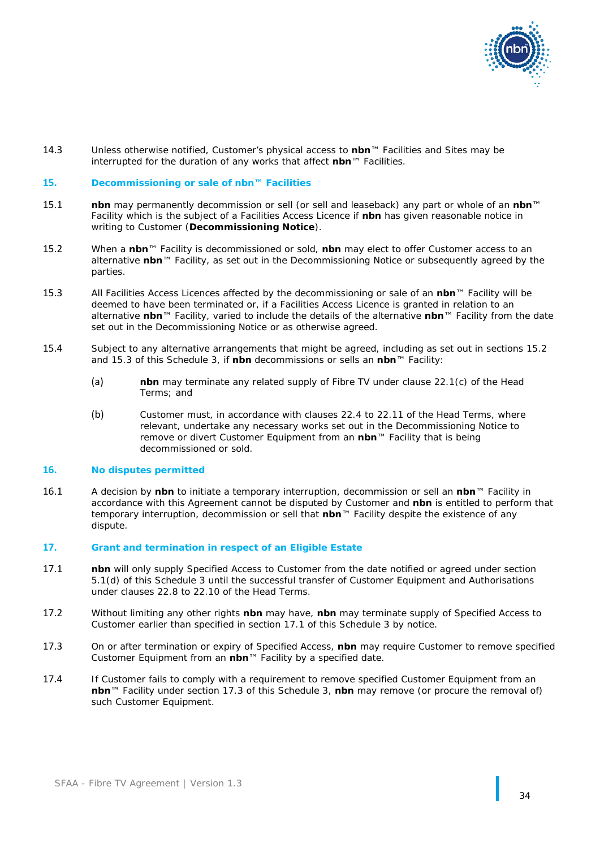

14.3 Unless otherwise notified, Customer's physical access to **nbn**™ Facilities and Sites may be interrupted for the duration of any works that affect **nbn**™ Facilities.

#### **15. Decommissioning or sale of nbn™ Facilities**

- 15.1 **nbn** may permanently decommission or sell (or sell and leaseback) any part or whole of an **nbn**™ Facility which is the subject of a Facilities Access Licence if **nbn** has given reasonable notice in writing to Customer (**Decommissioning Notice**).
- <span id="page-35-2"></span>15.2 When a **nbn**™ Facility is decommissioned or sold, **nbn** may elect to offer Customer access to an alternative **nbn**™ Facility, as set out in the Decommissioning Notice or subsequently agreed by the parties.
- <span id="page-35-3"></span>15.3 All Facilities Access Licences affected by the decommissioning or sale of an **nbn**™ Facility will be deemed to have been terminated or, if a Facilities Access Licence is granted in relation to an alternative **nbn**™ Facility, varied to include the details of the alternative **nbn**™ Facility from the date set out in the Decommissioning Notice or as otherwise agreed.
- 15.4 Subject to any alternative arrangements that might be agreed, including as set out in sections [15.2](#page-35-2) and [15.3](#page-35-3) of this Schedule 3, if **nbn** decommissions or sells an **nbn**™ Facility:
	- (a) **nbn** may terminate any related supply of Fibre TV under clause [22.1\(c\)](#page-11-5) of the Head Terms; and
	- (b) Customer must, in accordance with clauses [22.4](#page-12-0) to [22.11](#page-13-3) of the Head Terms, where relevant, undertake any necessary works set out in the Decommissioning Notice to remove or divert Customer Equipment from an **nbn**™ Facility that is being decommissioned or sold.

### **16. No disputes permitted**

16.1 A decision by **nbn** to initiate a temporary interruption, decommission or sell an **nbn**™ Facility in accordance with this Agreement cannot be disputed by Customer and **nbn** is entitled to perform that temporary interruption, decommission or sell that **nbn**™ Facility despite the existence of any dispute.

### **17. Grant and termination in respect of an Eligible Estate**

- <span id="page-35-4"></span>17.1 **nbn** will only supply Specified Access to Customer from the date notified or agreed under section [5.1\(d\)](#page-26-2) of this Schedule 3 until the successful transfer of Customer Equipment and Authorisations under clauses [22.8](#page-12-4) to [22.10](#page-12-5) of the Head Terms.
- 17.2 Without limiting any other rights **nbn** may have, **nbn** may terminate supply of Specified Access to Customer earlier than specified in section [17.1](#page-35-4) of this Schedule 3 by notice.
- <span id="page-35-0"></span>17.3 On or after termination or expiry of Specified Access, **nbn** may require Customer to remove specified Customer Equipment from an **nbn**™ Facility by a specified date.
- <span id="page-35-1"></span>17.4 If Customer fails to comply with a requirement to remove specified Customer Equipment from an **nbn**™ Facility under section [17.3](#page-35-0) of this Schedule 3, **nbn** may remove (or procure the removal of) such Customer Equipment.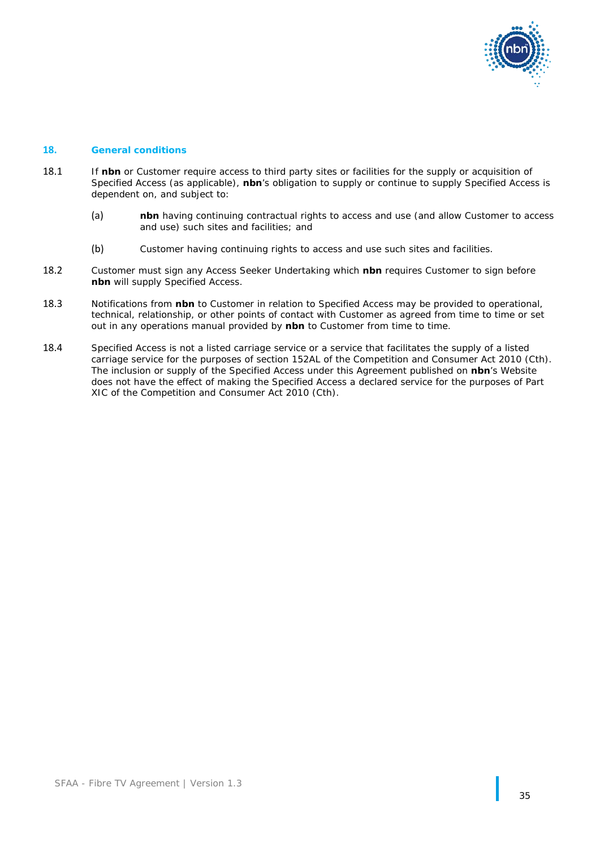

### **18. General conditions**

- 18.1 If **nbn** or Customer require access to third party sites or facilities for the supply or acquisition of Specified Access (as applicable), **nbn**'s obligation to supply or continue to supply Specified Access is dependent on, and subject to:
	- (a) **nbn** having continuing contractual rights to access and use (and allow Customer to access and use) such sites and facilities; and
	- (b) Customer having continuing rights to access and use such sites and facilities.
- 18.2 Customer must sign any Access Seeker Undertaking which **nbn** requires Customer to sign before **nbn** will supply Specified Access.
- 18.3 Notifications from **nbn** to Customer in relation to Specified Access may be provided to operational, technical, relationship, or other points of contact with Customer as agreed from time to time or set out in any operations manual provided by **nbn** to Customer from time to time.
- 18.4 Specified Access is not a listed carriage service or a service that facilitates the supply of a listed carriage service for the purposes of section 152AL of the *Competition and Consumer Act 2010* (Cth). The inclusion or supply of the Specified Access under this Agreement published on **nbn**'s Website does not have the effect of making the Specified Access a declared service for the purposes of Part XIC of the *Competition and Consumer Act 2010* (Cth).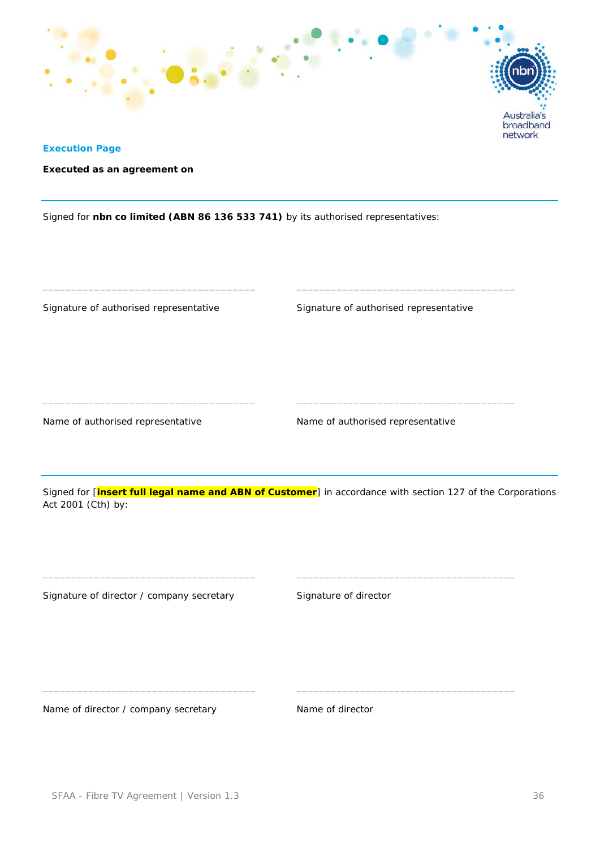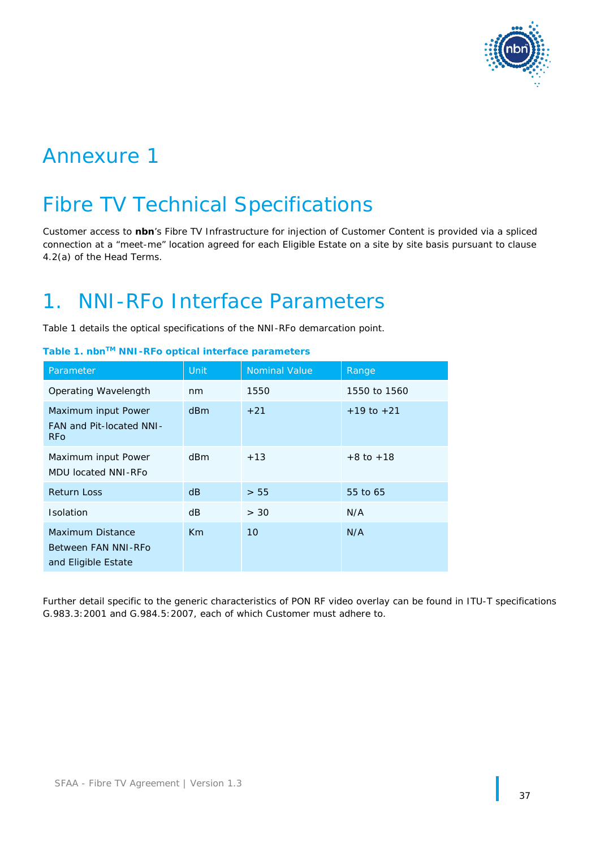

# Annexure 1

# Fibre TV Technical Specifications

Customer access to **nbn**'s Fibre TV Infrastructure for injection of Customer Content is provided via a spliced connection at a "meet-me" location agreed for each Eligible Estate on a site by site basis pursuant to clause 4.2(a) of the Head Terms.

# 1. NNI-RFo Interface Parameters

Table 1 details the optical specifications of the NNI-RFo demarcation point.

| Parameter                                                             | Unit            | <b>Nominal Value</b> | Range          |
|-----------------------------------------------------------------------|-----------------|----------------------|----------------|
| Operating Wavelength                                                  | nm              | 1550                 | 1550 to 1560   |
| Maximum input Power<br>FAN and Pit-located NNI-<br><b>RFo</b>         | d <sub>Bm</sub> | $+21$                | $+19$ to $+21$ |
| Maximum input Power<br><b>MDU located NNI-RFo</b>                     | dBm             | $+13$                | $+8$ to $+18$  |
| <b>Return Loss</b>                                                    | dB              | > 55                 | 55 to 65       |
| <b>Isolation</b>                                                      | dB              | > 30                 | N/A            |
| <b>Maximum Distance</b><br>Between FAN NNI-RFo<br>and Eligible Estate | Km              | 10                   | N/A            |

| Table 1. nbn™ NNI-RFo optical interface parameters |  |  |  |  |
|----------------------------------------------------|--|--|--|--|
|----------------------------------------------------|--|--|--|--|

Further detail specific to the generic characteristics of PON RF video overlay can be found in ITU-T specifications G.983.3:2001 and G.984.5:2007, each of which Customer must adhere to.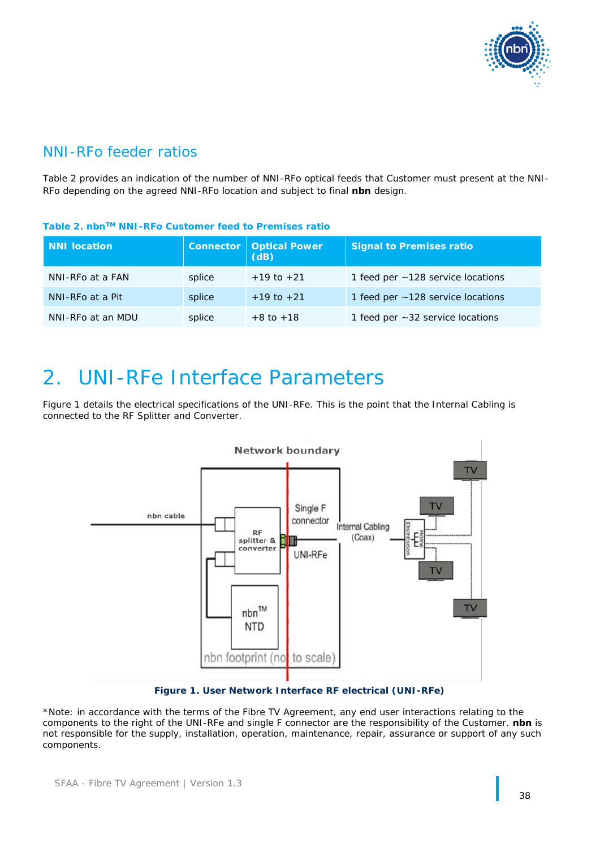

# NNI-RFo feeder ratios

Table 2 provides an indication of the number of NNI-RFo optical feeds that Customer must present at the NNI-RFo depending on the agreed NNI-RFo location and subject to final **nbn** design.

## **Table 2. nbnTM NNI-RFo Customer feed to Premises ratio**

| <b>NNI location</b> |        | <b>Connector   Optical Power</b><br>(dB) | <b>Signal to Premises ratio</b>         |
|---------------------|--------|------------------------------------------|-----------------------------------------|
| NNI-RFo at a FAN    | splice | $+19$ to $+21$                           | 1 feed per $\sim$ 128 service locations |
| NNI-RFo at a Pit    | splice | $+19$ to $+21$                           | 1 feed per ~128 service locations       |
| NNI-RFo at an MDU   | splice | $+8$ to $+18$                            | 1 feed per $\sim$ 32 service locations  |

# 2. UNI-RFe Interface Parameters

Figure 1 details the electrical specifications of the UNI-RFe. This is the point that the Internal Cabling is connected to the RF Splitter and Converter.



**Figure 1. User Network Interface RF electrical (UNI-RFe)**

\*Note: in accordance with the terms of the Fibre TV Agreement, any end user interactions relating to the components to the right of the UNI-RFe and single F connector are the responsibility of the Customer. **nbn** is not responsible for the supply, installation, operation, maintenance, repair, assurance or support of any such components.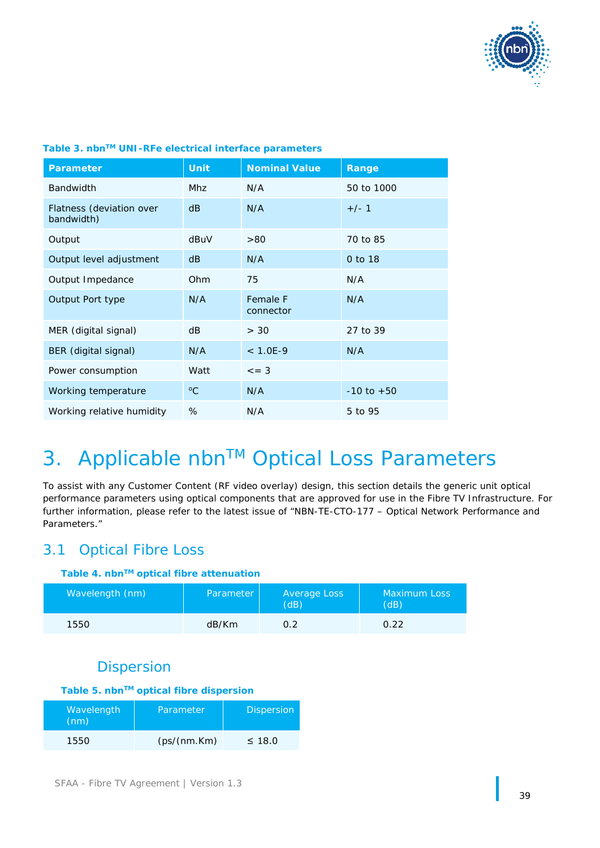

| <b>Parameter</b>                       | <b>Unit</b> | <b>Nominal Value</b>  | Range          |
|----------------------------------------|-------------|-----------------------|----------------|
| <b>Bandwidth</b>                       | <b>Mhz</b>  | N/A                   | 50 to 1000     |
| Flatness (deviation over<br>bandwidth) | dB          | N/A                   | $+/-1$         |
| Output                                 | dBuV        | >80                   | 70 to 85       |
| Output level adjustment                | dB          | N/A                   | 0 to 18        |
| Output Impedance                       | Ohm         | 75                    | N/A            |
| Output Port type                       | N/A         | Female F<br>connector | N/A            |
| MER (digital signal)                   | dB          | > 30                  | 27 to 39       |
| BER (digital signal)                   | N/A         | $< 1.0E-9$            | N/A            |
| Power consumption                      | Watt        | $\leq$ = 3            |                |
| Working temperature                    | $\rm ^{o}C$ | N/A                   | $-10$ to $+50$ |
| Working relative humidity              | %           | N/A                   | 5 to 95        |

## **Table 3. nbnTM UNI-RFe electrical interface parameters**

# 3. Applicable nbn™ Optical Loss Parameters

To assist with any Customer Content (RF video overlay) design, this section details the generic unit optical performance parameters using optical components that are approved for use in the Fibre TV Infrastructure. For further information, please refer to the latest issue of "NBN-TE-CTO-177 – Optical Network Performance and Parameters."

# 3.1 Optical Fibre Loss

## **Table 4. nbnTM optical fibre attenuation**

| Wavelength (nm) | Parameter | Average Loss<br>(dB) | <b>Maximum Loss</b><br>(dB) |
|-----------------|-----------|----------------------|-----------------------------|
| 1550            | dB/Km     | 0.2                  | O 22                        |

# **Dispersion**

# **Table 5. nbnTM optical fibre dispersion**

| Wavelength<br>(nm) | Parameter    | <b>Dispersion</b> |
|--------------------|--------------|-------------------|
| 1550               | (ps/(nm.Km)) | $\leq 18.0$       |